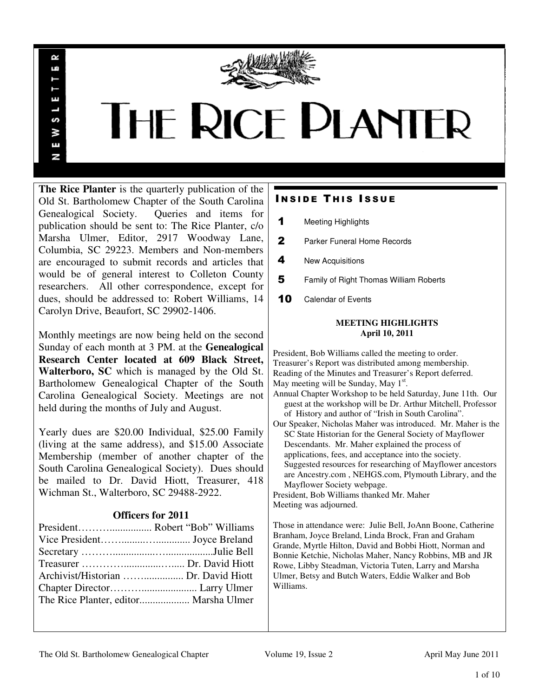

# **THE RICE PLANTER**

**The Rice Planter** is the quarterly publication of the Old St. Bartholomew Chapter of the South Carolina Genealogical Society. Queries and items for publication should be sent to: The Rice Planter, c/o Marsha Ulmer, Editor, 2917 Woodway Lane, Columbia, SC 29223. Members and Non-members are encouraged to submit records and articles that would be of general interest to Colleton County researchers. All other correspondence, except for dues, should be addressed to: Robert Williams, 14 Carolyn Drive, Beaufort, SC 29902-1406.

 $\sim$ uń

ш

S š E N

Monthly meetings are now being held on the second Sunday of each month at 3 PM. at the **Genealogical Research Center located at 609 Black Street, Walterboro, SC** which is managed by the Old St. Bartholomew Genealogical Chapter of the South Carolina Genealogical Society. Meetings are not held during the months of July and August.

Yearly dues are \$20.00 Individual, \$25.00 Family (living at the same address), and \$15.00 Associate Membership (member of another chapter of the South Carolina Genealogical Society). Dues should be mailed to Dr. David Hiott, Treasurer, 418 Wichman St., Walterboro, SC 29488-2922.

# **Officers for 2011**

# **INSIDE THIS ISSUE**

- 1 Meeting Highlights
- 2 Parker Funeral Home Records
- 4 New Acquisitions
- **5** Family of Right Thomas William Roberts
- 10 Calendar of Events

#### **MEETING HIGHLIGHTS April 10, 2011**

President, Bob Williams called the meeting to order. Treasurer's Report was distributed among membership. Reading of the Minutes and Treasurer's Report deferred. May meeting will be Sunday, May  $1<sup>st</sup>$ . Annual Chapter Workshop to be held Saturday, June 11th. Our guest at the workshop will be Dr. Arthur Mitchell, Professor of History and author of "Irish in South Carolina". Our Speaker, Nicholas Maher was introduced. Mr. Maher is the SC State Historian for the General Society of Mayflower Descendants. Mr. Maher explained the process of applications, fees, and acceptance into the society. Suggested resources for researching of Mayflower ancestors are Ancestry.com , NEHGS.com, Plymouth Library, and the Mayflower Society webpage. President, Bob Williams thanked Mr. Maher Meeting was adjourned.

Those in attendance were: Julie Bell, JoAnn Boone, Catherine Branham, Joyce Breland, Linda Brock, Fran and Graham Grande, Myrtle Hilton, David and Bobbi Hiott, Norman and Bonnie Ketchie, Nicholas Maher, Nancy Robbins, MB and JR Rowe, Libby Steadman, Victoria Tuten, Larry and Marsha Ulmer, Betsy and Butch Waters, Eddie Walker and Bob Williams.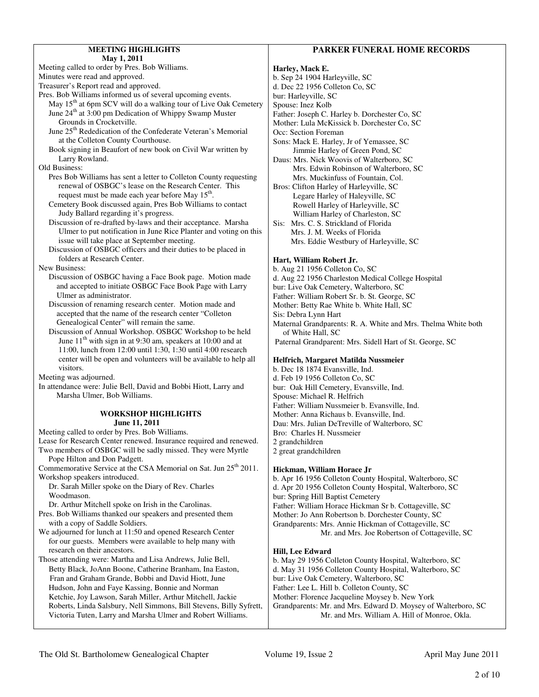|--|

| <b>MEETING HIGHLIGHTS</b>                                                                                                                                                                  |              |
|--------------------------------------------------------------------------------------------------------------------------------------------------------------------------------------------|--------------|
| May 1, 2011                                                                                                                                                                                |              |
| Meeting called to order by Pres. Bob Williams.                                                                                                                                             | Har          |
| Minutes were read and approved.                                                                                                                                                            | b. S         |
| Treasurer's Report read and approved.<br>Pres. Bob Williams informed us of several upcoming events.                                                                                        | $d.$ $D$     |
| May 15 <sup>th</sup> at 6pm SCV will do a walking tour of Live Oak Cemetery                                                                                                                | bur:         |
| June 24 <sup>th</sup> at 3:00 pm Dedication of Whippy Swamp Muster                                                                                                                         | Spo<br>Fath  |
| Grounds in Crocketville.                                                                                                                                                                   | Mot          |
| June 25 <sup>th</sup> Rededication of the Confederate Veteran's Memorial                                                                                                                   | Occ          |
| at the Colleton County Courthouse.                                                                                                                                                         | Son          |
| Book signing in Beaufort of new book on Civil War written by                                                                                                                               |              |
| Larry Rowland.                                                                                                                                                                             | Dau          |
| <b>Old Business:</b>                                                                                                                                                                       |              |
| Pres Bob Williams has sent a letter to Colleton County requesting<br>renewal of OSBGC's lease on the Research Center. This<br>request must be made each year before May 15 <sup>th</sup> . | Bro          |
| Cemetery Book discussed again, Pres Bob Williams to contact                                                                                                                                |              |
| Judy Ballard regarding it's progress.                                                                                                                                                      |              |
| Discussion of re-drafted by-laws and their acceptance. Marsha<br>Ulmer to put notification in June Rice Planter and voting on this                                                         | Sis:         |
| issue will take place at September meeting.                                                                                                                                                |              |
| Discussion of OSBGC officers and their duties to be placed in                                                                                                                              |              |
| folders at Research Center.                                                                                                                                                                | Har          |
| <b>New Business:</b><br>Discussion of OSBGC having a Face Book page. Motion made                                                                                                           | b. A<br>d. A |
| and accepted to initiate OSBGC Face Book Page with Larry                                                                                                                                   | bur:         |
| Ulmer as administrator.                                                                                                                                                                    | Fath         |
| Discussion of renaming research center. Motion made and                                                                                                                                    | Mot          |
| accepted that the name of the research center "Colleton                                                                                                                                    | Sis:         |
| Genealogical Center" will remain the same.                                                                                                                                                 | Mat          |
| Discussion of Annual Workshop. OSBGC Workshop to be held                                                                                                                                   | C            |
| June 11 <sup>th</sup> with sign in at 9:30 am, speakers at 10:00 and at                                                                                                                    | Pat          |
| 11:00, lunch from 12:00 until 1:30, 1:30 until 4:00 research<br>center will be open and volunteers will be available to help all                                                           |              |
| visitors.                                                                                                                                                                                  | Hel<br>b. D  |
| Meeting was adjourned.                                                                                                                                                                     | d. F         |
| In attendance were: Julie Bell, David and Bobbi Hiott, Larry and                                                                                                                           | bur:         |
| Marsha Ulmer, Bob Williams.                                                                                                                                                                | Spo          |
|                                                                                                                                                                                            | Fath         |
| <b>WORKSHOP HIGHLIGHTS</b>                                                                                                                                                                 | Mot          |
| June 11, 2011<br>Meeting called to order by Pres. Bob Williams.                                                                                                                            | Dau          |
| Lease for Research Center renewed. Insurance required and renewed.                                                                                                                         | Bro<br>2gr   |
| Two members of OSBGC will be sadly missed. They were Myrtle                                                                                                                                | 2 gr         |
| Pope Hilton and Don Padgett.                                                                                                                                                               |              |
| Commemorative Service at the CSA Memorial on Sat. Jun 25 <sup>th</sup> 2011.                                                                                                               | Hic          |
| Workshop speakers introduced.                                                                                                                                                              | b. A         |
| Dr. Sarah Miller spoke on the Diary of Rev. Charles                                                                                                                                        | d. A         |
| Woodmason.                                                                                                                                                                                 | bur:         |
| Dr. Arthur Mitchell spoke on Irish in the Carolinas.                                                                                                                                       | Fath         |
| Pres. Bob Williams thanked our speakers and presented them<br>with a copy of Saddle Soldiers.                                                                                              | Mot          |
| We adjourned for lunch at 11:50 and opened Research Center                                                                                                                                 | Gra          |
| for our guests. Members were available to help many with                                                                                                                                   |              |
| research on their ancestors.                                                                                                                                                               | Hill         |
| Those attending were: Martha and Lisa Andrews, Julie Bell,                                                                                                                                 | b. N         |
| Betty Black, JoAnn Boone, Catherine Branham, Ina Easton,                                                                                                                                   | d. N         |
| Fran and Graham Grande, Bobbi and David Hiott, June                                                                                                                                        | bur:         |
| Hudson, John and Faye Kassing, Bonnie and Norman                                                                                                                                           | Fath         |
| Ketchie, Joy Lawson, Sarah Miller, Arthur Mitchell, Jackie                                                                                                                                 | Mot          |
| Roberts, Linda Salsbury, Nell Simmons, Bill Stevens, Billy Syfrett,                                                                                                                        | Gra          |
| Victoria Tuten, Larry and Marsha Ulmer and Robert Williams.                                                                                                                                |              |
|                                                                                                                                                                                            |              |

#### **Harley, Mack E.**

b. Sep 24 1904 Harleyville, SC dec 22 1956 Colleton Co, SC Harleyville, SC use: Inez Kolb her: Joseph C. Harley b. Dorchester Co, SC ther: Lula McKissick b. Dorchester Co, SC : Section Foreman s: Mack E. Harley, Jr of Yemassee, SC Jimmie Harley of Green Pond, SC Is: Mrs. Nick Woovis of Walterboro, SC Mrs. Edwin Robinson of Walterboro, SC Mrs. Muckinfuss of Fountain, Col. s: Clifton Harley of Harleyville, SC Legare Harley of Haleyville, SC Rowell Harley of Harleyville, SC William Harley of Charleston, SC Mrs. C. S. Strickland of Florida Mrs. J. M. Weeks of Florida Mrs. Eddie Westbury of Harleyville, SC

#### **Hart, William Robert Jr.**

ug 21 1956 Colleton Co, SC ug 22 1956 Charleston Medical College Hospital Live Oak Cemetery, Walterboro, SC er: William Robert Sr. b. St. George, SC ther: Betty Rae White b. White Hall, SC Debra Lynn Hart ternal Grandparents: R. A. White and Mrs. Thelma White both of White Hall, SC ernal Grandparent: Mrs. Sidell Hart of St. George, SC

#### **Helfrich, Margaret Matilda Nussmeier**

bec 18 1874 Evansville, Ind. eb 19 1956 Colleton Co, SC Oak Hill Cemetery, Evansville, Ind. use: Michael R. Helfrich ner: William Nussmeier b. Evansville, Ind. ther: Anna Richaus b. Evansville, Ind. 1: Mrs. Julian DeTreville of Walterboro, SC Charles H. Nussmeier andchildren eat grandchildren

#### **Hickman, William Horace Jr**

pr 16 1956 Colleton County Hospital, Walterboro, SC pr 20 1956 Colleton County Hospital, Walterboro, SC Spring Hill Baptist Cemetery er: William Horace Hickman Sr b. Cottageville, SC ther: Jo Ann Robertson b. Dorchester County, SC ndparents: Mrs. Annie Hickman of Cottageville, SC Mr. and Mrs. Joe Robertson of Cottageville, SC

#### **Hill, Lee Edward**

Aay 29 1956 Colleton County Hospital, Walterboro, SC Aay 31 1956 Colleton County Hospital, Walterboro, SC Live Oak Cemetery, Walterboro, SC er: Lee L. Hill b. Colleton County, SC ther: Florence Jacqueline Moysey b. New York ndparents: Mr. and Mrs. Edward D. Moysey of Walterboro, SC Mr. and Mrs. William A. Hill of Monroe, Okla.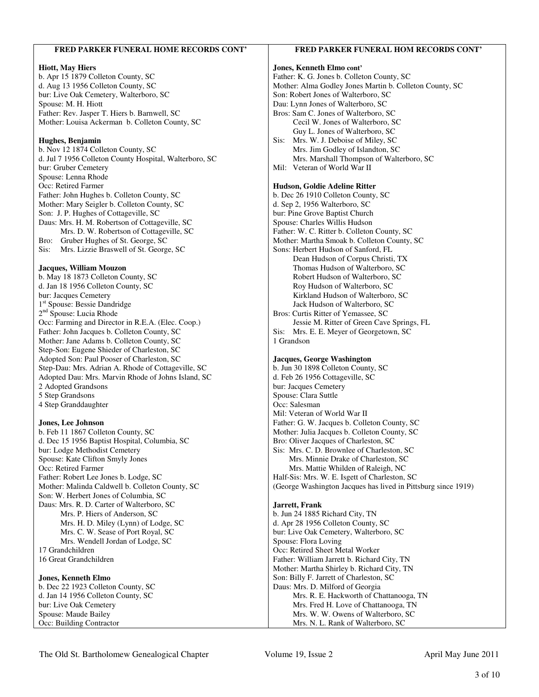| <b>Hiott, May Hiers</b><br>Jones, Kenneth Elmo cont'<br>b. Apr 15 1879 Colleton County, SC<br>Father: K. G. Jones b. Colleton County, SC<br>d. Aug 13 1956 Colleton County, SC<br>Mother: Alma Godley Jones Martin b. Colleton County, SC<br>Son: Robert Jones of Walterboro, SC<br>bur: Live Oak Cemetery, Walterboro, SC<br>Spouse: M. H. Hiott<br>Dau: Lynn Jones of Walterboro, SC<br>Father: Rev. Jasper T. Hiers b. Barnwell, SC<br>Bros: Sam C. Jones of Walterboro, SC<br>Mother: Louisa Ackerman b. Colleton County, SC<br>Cecil W. Jones of Walterboro, SC<br>Guy L. Jones of Walterboro, SC<br>Mrs. W. J. Deboise of Miley, SC<br>Sis:<br>Hughes, Benjamin<br>b. Nov 12 1874 Colleton County, SC<br>Mrs. Jim Godley of Islandton, SC<br>d. Jul 7 1956 Colleton County Hospital, Walterboro, SC<br>Mrs. Marshall Thompson of Walterboro, SC<br>Mil: Veteran of World War II<br>bur: Gruber Cemetery<br>Spouse: Lenna Rhode<br>Occ: Retired Farmer<br>Hudson, Goldie Adeline Ritter<br>Father: John Hughes b. Colleton County, SC<br>b. Dec 26 1910 Colleton County, SC<br>Mother: Mary Seigler b. Colleton County, SC<br>d. Sep 2, 1956 Walterboro, SC<br>Son: J. P. Hughes of Cottageville, SC<br>bur: Pine Grove Baptist Church<br>Daus: Mrs. H. M. Robertson of Cottageville, SC<br>Spouse: Charles Willis Hudson<br>Mrs. D. W. Robertson of Cottageville, SC<br>Father: W. C. Ritter b. Colleton County, SC<br>Bro: Gruber Hughes of St. George, SC<br>Mother: Martha Smoak b. Colleton County, SC<br>Sons: Herbert Hudson of Sanford, FL<br>Sis:<br>Mrs. Lizzie Braswell of St. George, SC<br>Dean Hudson of Corpus Christi, TX<br>Jacques, William Mouzon<br>Thomas Hudson of Walterboro, SC<br>b. May 18 1873 Colleton County, SC<br>Robert Hudson of Walterboro, SC<br>d. Jan 18 1956 Colleton County, SC<br>Roy Hudson of Walterboro, SC<br>bur: Jacques Cemetery<br>Kirkland Hudson of Walterboro, SC<br>1 <sup>st</sup> Spouse: Bessie Dandridge<br>Jack Hudson of Walterboro, SC<br>2 <sup>nd</sup> Spouse: Lucia Rhode<br>Bros: Curtis Ritter of Yemassee, SC<br>Occ: Farming and Director in R.E.A. (Elec. Coop.)<br>Jessie M. Ritter of Green Cave Springs, FL<br>Father: John Jacques b. Colleton County, SC<br>Sis: Mrs. E. E. Meyer of Georgetown, SC<br>1 Grandson<br>Mother: Jane Adams b. Colleton County, SC<br>Step-Son: Eugene Shieder of Charleston, SC<br>Adopted Son: Paul Pooser of Charleston, SC<br>Jacques, George Washington<br>b. Jun 30 1898 Colleton County, SC<br>Step-Dau: Mrs. Adrian A. Rhode of Cottageville, SC<br>Adopted Dau: Mrs. Marvin Rhode of Johns Island, SC<br>d. Feb 26 1956 Cottageville, SC<br>2 Adopted Grandsons<br>bur: Jacques Cemetery<br>5 Step Grandsons<br>Spouse: Clara Suttle<br>Occ: Salesman<br>4 Step Granddaughter<br>Mil: Veteran of World War II<br>Father: G. W. Jacques b. Colleton County, SC<br><b>Jones, Lee Johnson</b><br>b. Feb 11 1867 Colleton County, SC<br>Mother: Julia Jacques b. Colleton County, SC<br>d. Dec 15 1956 Baptist Hospital, Columbia, SC<br>Bro: Oliver Jacques of Charleston, SC<br>bur: Lodge Methodist Cemetery<br>Sis: Mrs. C. D. Brownlee of Charleston, SC<br>Spouse: Kate Clifton Smyly Jones<br>Mrs. Minnie Drake of Charleston, SC<br>Occ: Retired Farmer<br>Mrs. Mattie Whilden of Raleigh, NC<br>Father: Robert Lee Jones b. Lodge, SC<br>Half-Sis: Mrs. W. E. Isgett of Charleston, SC<br>Mother: Malinda Caldwell b. Colleton County, SC<br>(George Washington Jacques has lived in Pittsburg since 1919)<br>Son: W. Herbert Jones of Columbia, SC<br>Daus: Mrs. R. D. Carter of Walterboro, SC<br>Jarrett, Frank<br>b. Jun 24 1885 Richard City, TN<br>Mrs. P. Hiers of Anderson, SC<br>d. Apr 28 1956 Colleton County, SC<br>Mrs. H. D. Miley (Lynn) of Lodge, SC<br>Mrs. C. W. Sease of Port Royal, SC<br>bur: Live Oak Cemetery, Walterboro, SC<br>Mrs. Wendell Jordan of Lodge, SC<br>Spouse: Flora Loving<br>17 Grandchildren<br>Occ: Retired Sheet Metal Worker<br>16 Great Grandchildren<br>Father: William Jarrett b. Richard City, TN<br>Mother: Martha Shirley b. Richard City, TN<br>Son: Billy F. Jarrett of Charleston, SC<br><b>Jones, Kenneth Elmo</b><br>b. Dec 22 1923 Colleton County, SC<br>Daus: Mrs. D. Milford of Georgia<br>d. Jan 14 1956 Colleton County, SC<br>Mrs. R. E. Hackworth of Chattanooga, TN<br>Mrs. Fred H. Love of Chattanooga, TN<br>bur: Live Oak Cemetery<br>Spouse: Maude Bailey<br>Mrs. W. W. Owens of Walterboro, SC<br>Occ: Building Contractor<br>Mrs. N. L. Rank of Walterboro, SC | FRED PARKER FUNERAL HOME RECORDS CONT' | FRED PARKER FUNERAL HOM RECORDS CONT' |
|-------------------------------------------------------------------------------------------------------------------------------------------------------------------------------------------------------------------------------------------------------------------------------------------------------------------------------------------------------------------------------------------------------------------------------------------------------------------------------------------------------------------------------------------------------------------------------------------------------------------------------------------------------------------------------------------------------------------------------------------------------------------------------------------------------------------------------------------------------------------------------------------------------------------------------------------------------------------------------------------------------------------------------------------------------------------------------------------------------------------------------------------------------------------------------------------------------------------------------------------------------------------------------------------------------------------------------------------------------------------------------------------------------------------------------------------------------------------------------------------------------------------------------------------------------------------------------------------------------------------------------------------------------------------------------------------------------------------------------------------------------------------------------------------------------------------------------------------------------------------------------------------------------------------------------------------------------------------------------------------------------------------------------------------------------------------------------------------------------------------------------------------------------------------------------------------------------------------------------------------------------------------------------------------------------------------------------------------------------------------------------------------------------------------------------------------------------------------------------------------------------------------------------------------------------------------------------------------------------------------------------------------------------------------------------------------------------------------------------------------------------------------------------------------------------------------------------------------------------------------------------------------------------------------------------------------------------------------------------------------------------------------------------------------------------------------------------------------------------------------------------------------------------------------------------------------------------------------------------------------------------------------------------------------------------------------------------------------------------------------------------------------------------------------------------------------------------------------------------------------------------------------------------------------------------------------------------------------------------------------------------------------------------------------------------------------------------------------------------------------------------------------------------------------------------------------------------------------------------------------------------------------------------------------------------------------------------------------------------------------------------------------------------------------------------------------------------------------------------------------------------------------------------------------------------------------------------------------------------------------------------------------------------------------------------------------------------------------------------------------------------------------------------------------------------------------------------------------------------------------------------------------------------------------------------------|----------------------------------------|---------------------------------------|
|                                                                                                                                                                                                                                                                                                                                                                                                                                                                                                                                                                                                                                                                                                                                                                                                                                                                                                                                                                                                                                                                                                                                                                                                                                                                                                                                                                                                                                                                                                                                                                                                                                                                                                                                                                                                                                                                                                                                                                                                                                                                                                                                                                                                                                                                                                                                                                                                                                                                                                                                                                                                                                                                                                                                                                                                                                                                                                                                                                                                                                                                                                                                                                                                                                                                                                                                                                                                                                                                                                                                                                                                                                                                                                                                                                                                                                                                                                                                                                                                                                                                                                                                                                                                                                                                                                                                                                                                                                                                                                                                                             |                                        |                                       |
|                                                                                                                                                                                                                                                                                                                                                                                                                                                                                                                                                                                                                                                                                                                                                                                                                                                                                                                                                                                                                                                                                                                                                                                                                                                                                                                                                                                                                                                                                                                                                                                                                                                                                                                                                                                                                                                                                                                                                                                                                                                                                                                                                                                                                                                                                                                                                                                                                                                                                                                                                                                                                                                                                                                                                                                                                                                                                                                                                                                                                                                                                                                                                                                                                                                                                                                                                                                                                                                                                                                                                                                                                                                                                                                                                                                                                                                                                                                                                                                                                                                                                                                                                                                                                                                                                                                                                                                                                                                                                                                                                             |                                        |                                       |
|                                                                                                                                                                                                                                                                                                                                                                                                                                                                                                                                                                                                                                                                                                                                                                                                                                                                                                                                                                                                                                                                                                                                                                                                                                                                                                                                                                                                                                                                                                                                                                                                                                                                                                                                                                                                                                                                                                                                                                                                                                                                                                                                                                                                                                                                                                                                                                                                                                                                                                                                                                                                                                                                                                                                                                                                                                                                                                                                                                                                                                                                                                                                                                                                                                                                                                                                                                                                                                                                                                                                                                                                                                                                                                                                                                                                                                                                                                                                                                                                                                                                                                                                                                                                                                                                                                                                                                                                                                                                                                                                                             |                                        |                                       |
|                                                                                                                                                                                                                                                                                                                                                                                                                                                                                                                                                                                                                                                                                                                                                                                                                                                                                                                                                                                                                                                                                                                                                                                                                                                                                                                                                                                                                                                                                                                                                                                                                                                                                                                                                                                                                                                                                                                                                                                                                                                                                                                                                                                                                                                                                                                                                                                                                                                                                                                                                                                                                                                                                                                                                                                                                                                                                                                                                                                                                                                                                                                                                                                                                                                                                                                                                                                                                                                                                                                                                                                                                                                                                                                                                                                                                                                                                                                                                                                                                                                                                                                                                                                                                                                                                                                                                                                                                                                                                                                                                             |                                        |                                       |
|                                                                                                                                                                                                                                                                                                                                                                                                                                                                                                                                                                                                                                                                                                                                                                                                                                                                                                                                                                                                                                                                                                                                                                                                                                                                                                                                                                                                                                                                                                                                                                                                                                                                                                                                                                                                                                                                                                                                                                                                                                                                                                                                                                                                                                                                                                                                                                                                                                                                                                                                                                                                                                                                                                                                                                                                                                                                                                                                                                                                                                                                                                                                                                                                                                                                                                                                                                                                                                                                                                                                                                                                                                                                                                                                                                                                                                                                                                                                                                                                                                                                                                                                                                                                                                                                                                                                                                                                                                                                                                                                                             |                                        |                                       |
|                                                                                                                                                                                                                                                                                                                                                                                                                                                                                                                                                                                                                                                                                                                                                                                                                                                                                                                                                                                                                                                                                                                                                                                                                                                                                                                                                                                                                                                                                                                                                                                                                                                                                                                                                                                                                                                                                                                                                                                                                                                                                                                                                                                                                                                                                                                                                                                                                                                                                                                                                                                                                                                                                                                                                                                                                                                                                                                                                                                                                                                                                                                                                                                                                                                                                                                                                                                                                                                                                                                                                                                                                                                                                                                                                                                                                                                                                                                                                                                                                                                                                                                                                                                                                                                                                                                                                                                                                                                                                                                                                             |                                        |                                       |
|                                                                                                                                                                                                                                                                                                                                                                                                                                                                                                                                                                                                                                                                                                                                                                                                                                                                                                                                                                                                                                                                                                                                                                                                                                                                                                                                                                                                                                                                                                                                                                                                                                                                                                                                                                                                                                                                                                                                                                                                                                                                                                                                                                                                                                                                                                                                                                                                                                                                                                                                                                                                                                                                                                                                                                                                                                                                                                                                                                                                                                                                                                                                                                                                                                                                                                                                                                                                                                                                                                                                                                                                                                                                                                                                                                                                                                                                                                                                                                                                                                                                                                                                                                                                                                                                                                                                                                                                                                                                                                                                                             |                                        |                                       |
|                                                                                                                                                                                                                                                                                                                                                                                                                                                                                                                                                                                                                                                                                                                                                                                                                                                                                                                                                                                                                                                                                                                                                                                                                                                                                                                                                                                                                                                                                                                                                                                                                                                                                                                                                                                                                                                                                                                                                                                                                                                                                                                                                                                                                                                                                                                                                                                                                                                                                                                                                                                                                                                                                                                                                                                                                                                                                                                                                                                                                                                                                                                                                                                                                                                                                                                                                                                                                                                                                                                                                                                                                                                                                                                                                                                                                                                                                                                                                                                                                                                                                                                                                                                                                                                                                                                                                                                                                                                                                                                                                             |                                        |                                       |
|                                                                                                                                                                                                                                                                                                                                                                                                                                                                                                                                                                                                                                                                                                                                                                                                                                                                                                                                                                                                                                                                                                                                                                                                                                                                                                                                                                                                                                                                                                                                                                                                                                                                                                                                                                                                                                                                                                                                                                                                                                                                                                                                                                                                                                                                                                                                                                                                                                                                                                                                                                                                                                                                                                                                                                                                                                                                                                                                                                                                                                                                                                                                                                                                                                                                                                                                                                                                                                                                                                                                                                                                                                                                                                                                                                                                                                                                                                                                                                                                                                                                                                                                                                                                                                                                                                                                                                                                                                                                                                                                                             |                                        |                                       |
|                                                                                                                                                                                                                                                                                                                                                                                                                                                                                                                                                                                                                                                                                                                                                                                                                                                                                                                                                                                                                                                                                                                                                                                                                                                                                                                                                                                                                                                                                                                                                                                                                                                                                                                                                                                                                                                                                                                                                                                                                                                                                                                                                                                                                                                                                                                                                                                                                                                                                                                                                                                                                                                                                                                                                                                                                                                                                                                                                                                                                                                                                                                                                                                                                                                                                                                                                                                                                                                                                                                                                                                                                                                                                                                                                                                                                                                                                                                                                                                                                                                                                                                                                                                                                                                                                                                                                                                                                                                                                                                                                             |                                        |                                       |
|                                                                                                                                                                                                                                                                                                                                                                                                                                                                                                                                                                                                                                                                                                                                                                                                                                                                                                                                                                                                                                                                                                                                                                                                                                                                                                                                                                                                                                                                                                                                                                                                                                                                                                                                                                                                                                                                                                                                                                                                                                                                                                                                                                                                                                                                                                                                                                                                                                                                                                                                                                                                                                                                                                                                                                                                                                                                                                                                                                                                                                                                                                                                                                                                                                                                                                                                                                                                                                                                                                                                                                                                                                                                                                                                                                                                                                                                                                                                                                                                                                                                                                                                                                                                                                                                                                                                                                                                                                                                                                                                                             |                                        |                                       |
|                                                                                                                                                                                                                                                                                                                                                                                                                                                                                                                                                                                                                                                                                                                                                                                                                                                                                                                                                                                                                                                                                                                                                                                                                                                                                                                                                                                                                                                                                                                                                                                                                                                                                                                                                                                                                                                                                                                                                                                                                                                                                                                                                                                                                                                                                                                                                                                                                                                                                                                                                                                                                                                                                                                                                                                                                                                                                                                                                                                                                                                                                                                                                                                                                                                                                                                                                                                                                                                                                                                                                                                                                                                                                                                                                                                                                                                                                                                                                                                                                                                                                                                                                                                                                                                                                                                                                                                                                                                                                                                                                             |                                        |                                       |
|                                                                                                                                                                                                                                                                                                                                                                                                                                                                                                                                                                                                                                                                                                                                                                                                                                                                                                                                                                                                                                                                                                                                                                                                                                                                                                                                                                                                                                                                                                                                                                                                                                                                                                                                                                                                                                                                                                                                                                                                                                                                                                                                                                                                                                                                                                                                                                                                                                                                                                                                                                                                                                                                                                                                                                                                                                                                                                                                                                                                                                                                                                                                                                                                                                                                                                                                                                                                                                                                                                                                                                                                                                                                                                                                                                                                                                                                                                                                                                                                                                                                                                                                                                                                                                                                                                                                                                                                                                                                                                                                                             |                                        |                                       |
|                                                                                                                                                                                                                                                                                                                                                                                                                                                                                                                                                                                                                                                                                                                                                                                                                                                                                                                                                                                                                                                                                                                                                                                                                                                                                                                                                                                                                                                                                                                                                                                                                                                                                                                                                                                                                                                                                                                                                                                                                                                                                                                                                                                                                                                                                                                                                                                                                                                                                                                                                                                                                                                                                                                                                                                                                                                                                                                                                                                                                                                                                                                                                                                                                                                                                                                                                                                                                                                                                                                                                                                                                                                                                                                                                                                                                                                                                                                                                                                                                                                                                                                                                                                                                                                                                                                                                                                                                                                                                                                                                             |                                        |                                       |
|                                                                                                                                                                                                                                                                                                                                                                                                                                                                                                                                                                                                                                                                                                                                                                                                                                                                                                                                                                                                                                                                                                                                                                                                                                                                                                                                                                                                                                                                                                                                                                                                                                                                                                                                                                                                                                                                                                                                                                                                                                                                                                                                                                                                                                                                                                                                                                                                                                                                                                                                                                                                                                                                                                                                                                                                                                                                                                                                                                                                                                                                                                                                                                                                                                                                                                                                                                                                                                                                                                                                                                                                                                                                                                                                                                                                                                                                                                                                                                                                                                                                                                                                                                                                                                                                                                                                                                                                                                                                                                                                                             |                                        |                                       |
|                                                                                                                                                                                                                                                                                                                                                                                                                                                                                                                                                                                                                                                                                                                                                                                                                                                                                                                                                                                                                                                                                                                                                                                                                                                                                                                                                                                                                                                                                                                                                                                                                                                                                                                                                                                                                                                                                                                                                                                                                                                                                                                                                                                                                                                                                                                                                                                                                                                                                                                                                                                                                                                                                                                                                                                                                                                                                                                                                                                                                                                                                                                                                                                                                                                                                                                                                                                                                                                                                                                                                                                                                                                                                                                                                                                                                                                                                                                                                                                                                                                                                                                                                                                                                                                                                                                                                                                                                                                                                                                                                             |                                        |                                       |
|                                                                                                                                                                                                                                                                                                                                                                                                                                                                                                                                                                                                                                                                                                                                                                                                                                                                                                                                                                                                                                                                                                                                                                                                                                                                                                                                                                                                                                                                                                                                                                                                                                                                                                                                                                                                                                                                                                                                                                                                                                                                                                                                                                                                                                                                                                                                                                                                                                                                                                                                                                                                                                                                                                                                                                                                                                                                                                                                                                                                                                                                                                                                                                                                                                                                                                                                                                                                                                                                                                                                                                                                                                                                                                                                                                                                                                                                                                                                                                                                                                                                                                                                                                                                                                                                                                                                                                                                                                                                                                                                                             |                                        |                                       |
|                                                                                                                                                                                                                                                                                                                                                                                                                                                                                                                                                                                                                                                                                                                                                                                                                                                                                                                                                                                                                                                                                                                                                                                                                                                                                                                                                                                                                                                                                                                                                                                                                                                                                                                                                                                                                                                                                                                                                                                                                                                                                                                                                                                                                                                                                                                                                                                                                                                                                                                                                                                                                                                                                                                                                                                                                                                                                                                                                                                                                                                                                                                                                                                                                                                                                                                                                                                                                                                                                                                                                                                                                                                                                                                                                                                                                                                                                                                                                                                                                                                                                                                                                                                                                                                                                                                                                                                                                                                                                                                                                             |                                        |                                       |
|                                                                                                                                                                                                                                                                                                                                                                                                                                                                                                                                                                                                                                                                                                                                                                                                                                                                                                                                                                                                                                                                                                                                                                                                                                                                                                                                                                                                                                                                                                                                                                                                                                                                                                                                                                                                                                                                                                                                                                                                                                                                                                                                                                                                                                                                                                                                                                                                                                                                                                                                                                                                                                                                                                                                                                                                                                                                                                                                                                                                                                                                                                                                                                                                                                                                                                                                                                                                                                                                                                                                                                                                                                                                                                                                                                                                                                                                                                                                                                                                                                                                                                                                                                                                                                                                                                                                                                                                                                                                                                                                                             |                                        |                                       |
|                                                                                                                                                                                                                                                                                                                                                                                                                                                                                                                                                                                                                                                                                                                                                                                                                                                                                                                                                                                                                                                                                                                                                                                                                                                                                                                                                                                                                                                                                                                                                                                                                                                                                                                                                                                                                                                                                                                                                                                                                                                                                                                                                                                                                                                                                                                                                                                                                                                                                                                                                                                                                                                                                                                                                                                                                                                                                                                                                                                                                                                                                                                                                                                                                                                                                                                                                                                                                                                                                                                                                                                                                                                                                                                                                                                                                                                                                                                                                                                                                                                                                                                                                                                                                                                                                                                                                                                                                                                                                                                                                             |                                        |                                       |
|                                                                                                                                                                                                                                                                                                                                                                                                                                                                                                                                                                                                                                                                                                                                                                                                                                                                                                                                                                                                                                                                                                                                                                                                                                                                                                                                                                                                                                                                                                                                                                                                                                                                                                                                                                                                                                                                                                                                                                                                                                                                                                                                                                                                                                                                                                                                                                                                                                                                                                                                                                                                                                                                                                                                                                                                                                                                                                                                                                                                                                                                                                                                                                                                                                                                                                                                                                                                                                                                                                                                                                                                                                                                                                                                                                                                                                                                                                                                                                                                                                                                                                                                                                                                                                                                                                                                                                                                                                                                                                                                                             |                                        |                                       |
|                                                                                                                                                                                                                                                                                                                                                                                                                                                                                                                                                                                                                                                                                                                                                                                                                                                                                                                                                                                                                                                                                                                                                                                                                                                                                                                                                                                                                                                                                                                                                                                                                                                                                                                                                                                                                                                                                                                                                                                                                                                                                                                                                                                                                                                                                                                                                                                                                                                                                                                                                                                                                                                                                                                                                                                                                                                                                                                                                                                                                                                                                                                                                                                                                                                                                                                                                                                                                                                                                                                                                                                                                                                                                                                                                                                                                                                                                                                                                                                                                                                                                                                                                                                                                                                                                                                                                                                                                                                                                                                                                             |                                        |                                       |
|                                                                                                                                                                                                                                                                                                                                                                                                                                                                                                                                                                                                                                                                                                                                                                                                                                                                                                                                                                                                                                                                                                                                                                                                                                                                                                                                                                                                                                                                                                                                                                                                                                                                                                                                                                                                                                                                                                                                                                                                                                                                                                                                                                                                                                                                                                                                                                                                                                                                                                                                                                                                                                                                                                                                                                                                                                                                                                                                                                                                                                                                                                                                                                                                                                                                                                                                                                                                                                                                                                                                                                                                                                                                                                                                                                                                                                                                                                                                                                                                                                                                                                                                                                                                                                                                                                                                                                                                                                                                                                                                                             |                                        |                                       |
|                                                                                                                                                                                                                                                                                                                                                                                                                                                                                                                                                                                                                                                                                                                                                                                                                                                                                                                                                                                                                                                                                                                                                                                                                                                                                                                                                                                                                                                                                                                                                                                                                                                                                                                                                                                                                                                                                                                                                                                                                                                                                                                                                                                                                                                                                                                                                                                                                                                                                                                                                                                                                                                                                                                                                                                                                                                                                                                                                                                                                                                                                                                                                                                                                                                                                                                                                                                                                                                                                                                                                                                                                                                                                                                                                                                                                                                                                                                                                                                                                                                                                                                                                                                                                                                                                                                                                                                                                                                                                                                                                             |                                        |                                       |
|                                                                                                                                                                                                                                                                                                                                                                                                                                                                                                                                                                                                                                                                                                                                                                                                                                                                                                                                                                                                                                                                                                                                                                                                                                                                                                                                                                                                                                                                                                                                                                                                                                                                                                                                                                                                                                                                                                                                                                                                                                                                                                                                                                                                                                                                                                                                                                                                                                                                                                                                                                                                                                                                                                                                                                                                                                                                                                                                                                                                                                                                                                                                                                                                                                                                                                                                                                                                                                                                                                                                                                                                                                                                                                                                                                                                                                                                                                                                                                                                                                                                                                                                                                                                                                                                                                                                                                                                                                                                                                                                                             |                                        |                                       |
|                                                                                                                                                                                                                                                                                                                                                                                                                                                                                                                                                                                                                                                                                                                                                                                                                                                                                                                                                                                                                                                                                                                                                                                                                                                                                                                                                                                                                                                                                                                                                                                                                                                                                                                                                                                                                                                                                                                                                                                                                                                                                                                                                                                                                                                                                                                                                                                                                                                                                                                                                                                                                                                                                                                                                                                                                                                                                                                                                                                                                                                                                                                                                                                                                                                                                                                                                                                                                                                                                                                                                                                                                                                                                                                                                                                                                                                                                                                                                                                                                                                                                                                                                                                                                                                                                                                                                                                                                                                                                                                                                             |                                        |                                       |
|                                                                                                                                                                                                                                                                                                                                                                                                                                                                                                                                                                                                                                                                                                                                                                                                                                                                                                                                                                                                                                                                                                                                                                                                                                                                                                                                                                                                                                                                                                                                                                                                                                                                                                                                                                                                                                                                                                                                                                                                                                                                                                                                                                                                                                                                                                                                                                                                                                                                                                                                                                                                                                                                                                                                                                                                                                                                                                                                                                                                                                                                                                                                                                                                                                                                                                                                                                                                                                                                                                                                                                                                                                                                                                                                                                                                                                                                                                                                                                                                                                                                                                                                                                                                                                                                                                                                                                                                                                                                                                                                                             |                                        |                                       |
|                                                                                                                                                                                                                                                                                                                                                                                                                                                                                                                                                                                                                                                                                                                                                                                                                                                                                                                                                                                                                                                                                                                                                                                                                                                                                                                                                                                                                                                                                                                                                                                                                                                                                                                                                                                                                                                                                                                                                                                                                                                                                                                                                                                                                                                                                                                                                                                                                                                                                                                                                                                                                                                                                                                                                                                                                                                                                                                                                                                                                                                                                                                                                                                                                                                                                                                                                                                                                                                                                                                                                                                                                                                                                                                                                                                                                                                                                                                                                                                                                                                                                                                                                                                                                                                                                                                                                                                                                                                                                                                                                             |                                        |                                       |
|                                                                                                                                                                                                                                                                                                                                                                                                                                                                                                                                                                                                                                                                                                                                                                                                                                                                                                                                                                                                                                                                                                                                                                                                                                                                                                                                                                                                                                                                                                                                                                                                                                                                                                                                                                                                                                                                                                                                                                                                                                                                                                                                                                                                                                                                                                                                                                                                                                                                                                                                                                                                                                                                                                                                                                                                                                                                                                                                                                                                                                                                                                                                                                                                                                                                                                                                                                                                                                                                                                                                                                                                                                                                                                                                                                                                                                                                                                                                                                                                                                                                                                                                                                                                                                                                                                                                                                                                                                                                                                                                                             |                                        |                                       |
|                                                                                                                                                                                                                                                                                                                                                                                                                                                                                                                                                                                                                                                                                                                                                                                                                                                                                                                                                                                                                                                                                                                                                                                                                                                                                                                                                                                                                                                                                                                                                                                                                                                                                                                                                                                                                                                                                                                                                                                                                                                                                                                                                                                                                                                                                                                                                                                                                                                                                                                                                                                                                                                                                                                                                                                                                                                                                                                                                                                                                                                                                                                                                                                                                                                                                                                                                                                                                                                                                                                                                                                                                                                                                                                                                                                                                                                                                                                                                                                                                                                                                                                                                                                                                                                                                                                                                                                                                                                                                                                                                             |                                        |                                       |
|                                                                                                                                                                                                                                                                                                                                                                                                                                                                                                                                                                                                                                                                                                                                                                                                                                                                                                                                                                                                                                                                                                                                                                                                                                                                                                                                                                                                                                                                                                                                                                                                                                                                                                                                                                                                                                                                                                                                                                                                                                                                                                                                                                                                                                                                                                                                                                                                                                                                                                                                                                                                                                                                                                                                                                                                                                                                                                                                                                                                                                                                                                                                                                                                                                                                                                                                                                                                                                                                                                                                                                                                                                                                                                                                                                                                                                                                                                                                                                                                                                                                                                                                                                                                                                                                                                                                                                                                                                                                                                                                                             |                                        |                                       |
|                                                                                                                                                                                                                                                                                                                                                                                                                                                                                                                                                                                                                                                                                                                                                                                                                                                                                                                                                                                                                                                                                                                                                                                                                                                                                                                                                                                                                                                                                                                                                                                                                                                                                                                                                                                                                                                                                                                                                                                                                                                                                                                                                                                                                                                                                                                                                                                                                                                                                                                                                                                                                                                                                                                                                                                                                                                                                                                                                                                                                                                                                                                                                                                                                                                                                                                                                                                                                                                                                                                                                                                                                                                                                                                                                                                                                                                                                                                                                                                                                                                                                                                                                                                                                                                                                                                                                                                                                                                                                                                                                             |                                        |                                       |
|                                                                                                                                                                                                                                                                                                                                                                                                                                                                                                                                                                                                                                                                                                                                                                                                                                                                                                                                                                                                                                                                                                                                                                                                                                                                                                                                                                                                                                                                                                                                                                                                                                                                                                                                                                                                                                                                                                                                                                                                                                                                                                                                                                                                                                                                                                                                                                                                                                                                                                                                                                                                                                                                                                                                                                                                                                                                                                                                                                                                                                                                                                                                                                                                                                                                                                                                                                                                                                                                                                                                                                                                                                                                                                                                                                                                                                                                                                                                                                                                                                                                                                                                                                                                                                                                                                                                                                                                                                                                                                                                                             |                                        |                                       |
|                                                                                                                                                                                                                                                                                                                                                                                                                                                                                                                                                                                                                                                                                                                                                                                                                                                                                                                                                                                                                                                                                                                                                                                                                                                                                                                                                                                                                                                                                                                                                                                                                                                                                                                                                                                                                                                                                                                                                                                                                                                                                                                                                                                                                                                                                                                                                                                                                                                                                                                                                                                                                                                                                                                                                                                                                                                                                                                                                                                                                                                                                                                                                                                                                                                                                                                                                                                                                                                                                                                                                                                                                                                                                                                                                                                                                                                                                                                                                                                                                                                                                                                                                                                                                                                                                                                                                                                                                                                                                                                                                             |                                        |                                       |
|                                                                                                                                                                                                                                                                                                                                                                                                                                                                                                                                                                                                                                                                                                                                                                                                                                                                                                                                                                                                                                                                                                                                                                                                                                                                                                                                                                                                                                                                                                                                                                                                                                                                                                                                                                                                                                                                                                                                                                                                                                                                                                                                                                                                                                                                                                                                                                                                                                                                                                                                                                                                                                                                                                                                                                                                                                                                                                                                                                                                                                                                                                                                                                                                                                                                                                                                                                                                                                                                                                                                                                                                                                                                                                                                                                                                                                                                                                                                                                                                                                                                                                                                                                                                                                                                                                                                                                                                                                                                                                                                                             |                                        |                                       |
|                                                                                                                                                                                                                                                                                                                                                                                                                                                                                                                                                                                                                                                                                                                                                                                                                                                                                                                                                                                                                                                                                                                                                                                                                                                                                                                                                                                                                                                                                                                                                                                                                                                                                                                                                                                                                                                                                                                                                                                                                                                                                                                                                                                                                                                                                                                                                                                                                                                                                                                                                                                                                                                                                                                                                                                                                                                                                                                                                                                                                                                                                                                                                                                                                                                                                                                                                                                                                                                                                                                                                                                                                                                                                                                                                                                                                                                                                                                                                                                                                                                                                                                                                                                                                                                                                                                                                                                                                                                                                                                                                             |                                        |                                       |
|                                                                                                                                                                                                                                                                                                                                                                                                                                                                                                                                                                                                                                                                                                                                                                                                                                                                                                                                                                                                                                                                                                                                                                                                                                                                                                                                                                                                                                                                                                                                                                                                                                                                                                                                                                                                                                                                                                                                                                                                                                                                                                                                                                                                                                                                                                                                                                                                                                                                                                                                                                                                                                                                                                                                                                                                                                                                                                                                                                                                                                                                                                                                                                                                                                                                                                                                                                                                                                                                                                                                                                                                                                                                                                                                                                                                                                                                                                                                                                                                                                                                                                                                                                                                                                                                                                                                                                                                                                                                                                                                                             |                                        |                                       |
|                                                                                                                                                                                                                                                                                                                                                                                                                                                                                                                                                                                                                                                                                                                                                                                                                                                                                                                                                                                                                                                                                                                                                                                                                                                                                                                                                                                                                                                                                                                                                                                                                                                                                                                                                                                                                                                                                                                                                                                                                                                                                                                                                                                                                                                                                                                                                                                                                                                                                                                                                                                                                                                                                                                                                                                                                                                                                                                                                                                                                                                                                                                                                                                                                                                                                                                                                                                                                                                                                                                                                                                                                                                                                                                                                                                                                                                                                                                                                                                                                                                                                                                                                                                                                                                                                                                                                                                                                                                                                                                                                             |                                        |                                       |
|                                                                                                                                                                                                                                                                                                                                                                                                                                                                                                                                                                                                                                                                                                                                                                                                                                                                                                                                                                                                                                                                                                                                                                                                                                                                                                                                                                                                                                                                                                                                                                                                                                                                                                                                                                                                                                                                                                                                                                                                                                                                                                                                                                                                                                                                                                                                                                                                                                                                                                                                                                                                                                                                                                                                                                                                                                                                                                                                                                                                                                                                                                                                                                                                                                                                                                                                                                                                                                                                                                                                                                                                                                                                                                                                                                                                                                                                                                                                                                                                                                                                                                                                                                                                                                                                                                                                                                                                                                                                                                                                                             |                                        |                                       |
|                                                                                                                                                                                                                                                                                                                                                                                                                                                                                                                                                                                                                                                                                                                                                                                                                                                                                                                                                                                                                                                                                                                                                                                                                                                                                                                                                                                                                                                                                                                                                                                                                                                                                                                                                                                                                                                                                                                                                                                                                                                                                                                                                                                                                                                                                                                                                                                                                                                                                                                                                                                                                                                                                                                                                                                                                                                                                                                                                                                                                                                                                                                                                                                                                                                                                                                                                                                                                                                                                                                                                                                                                                                                                                                                                                                                                                                                                                                                                                                                                                                                                                                                                                                                                                                                                                                                                                                                                                                                                                                                                             |                                        |                                       |
|                                                                                                                                                                                                                                                                                                                                                                                                                                                                                                                                                                                                                                                                                                                                                                                                                                                                                                                                                                                                                                                                                                                                                                                                                                                                                                                                                                                                                                                                                                                                                                                                                                                                                                                                                                                                                                                                                                                                                                                                                                                                                                                                                                                                                                                                                                                                                                                                                                                                                                                                                                                                                                                                                                                                                                                                                                                                                                                                                                                                                                                                                                                                                                                                                                                                                                                                                                                                                                                                                                                                                                                                                                                                                                                                                                                                                                                                                                                                                                                                                                                                                                                                                                                                                                                                                                                                                                                                                                                                                                                                                             |                                        |                                       |
|                                                                                                                                                                                                                                                                                                                                                                                                                                                                                                                                                                                                                                                                                                                                                                                                                                                                                                                                                                                                                                                                                                                                                                                                                                                                                                                                                                                                                                                                                                                                                                                                                                                                                                                                                                                                                                                                                                                                                                                                                                                                                                                                                                                                                                                                                                                                                                                                                                                                                                                                                                                                                                                                                                                                                                                                                                                                                                                                                                                                                                                                                                                                                                                                                                                                                                                                                                                                                                                                                                                                                                                                                                                                                                                                                                                                                                                                                                                                                                                                                                                                                                                                                                                                                                                                                                                                                                                                                                                                                                                                                             |                                        |                                       |
|                                                                                                                                                                                                                                                                                                                                                                                                                                                                                                                                                                                                                                                                                                                                                                                                                                                                                                                                                                                                                                                                                                                                                                                                                                                                                                                                                                                                                                                                                                                                                                                                                                                                                                                                                                                                                                                                                                                                                                                                                                                                                                                                                                                                                                                                                                                                                                                                                                                                                                                                                                                                                                                                                                                                                                                                                                                                                                                                                                                                                                                                                                                                                                                                                                                                                                                                                                                                                                                                                                                                                                                                                                                                                                                                                                                                                                                                                                                                                                                                                                                                                                                                                                                                                                                                                                                                                                                                                                                                                                                                                             |                                        |                                       |
|                                                                                                                                                                                                                                                                                                                                                                                                                                                                                                                                                                                                                                                                                                                                                                                                                                                                                                                                                                                                                                                                                                                                                                                                                                                                                                                                                                                                                                                                                                                                                                                                                                                                                                                                                                                                                                                                                                                                                                                                                                                                                                                                                                                                                                                                                                                                                                                                                                                                                                                                                                                                                                                                                                                                                                                                                                                                                                                                                                                                                                                                                                                                                                                                                                                                                                                                                                                                                                                                                                                                                                                                                                                                                                                                                                                                                                                                                                                                                                                                                                                                                                                                                                                                                                                                                                                                                                                                                                                                                                                                                             |                                        |                                       |
|                                                                                                                                                                                                                                                                                                                                                                                                                                                                                                                                                                                                                                                                                                                                                                                                                                                                                                                                                                                                                                                                                                                                                                                                                                                                                                                                                                                                                                                                                                                                                                                                                                                                                                                                                                                                                                                                                                                                                                                                                                                                                                                                                                                                                                                                                                                                                                                                                                                                                                                                                                                                                                                                                                                                                                                                                                                                                                                                                                                                                                                                                                                                                                                                                                                                                                                                                                                                                                                                                                                                                                                                                                                                                                                                                                                                                                                                                                                                                                                                                                                                                                                                                                                                                                                                                                                                                                                                                                                                                                                                                             |                                        |                                       |
|                                                                                                                                                                                                                                                                                                                                                                                                                                                                                                                                                                                                                                                                                                                                                                                                                                                                                                                                                                                                                                                                                                                                                                                                                                                                                                                                                                                                                                                                                                                                                                                                                                                                                                                                                                                                                                                                                                                                                                                                                                                                                                                                                                                                                                                                                                                                                                                                                                                                                                                                                                                                                                                                                                                                                                                                                                                                                                                                                                                                                                                                                                                                                                                                                                                                                                                                                                                                                                                                                                                                                                                                                                                                                                                                                                                                                                                                                                                                                                                                                                                                                                                                                                                                                                                                                                                                                                                                                                                                                                                                                             |                                        |                                       |
|                                                                                                                                                                                                                                                                                                                                                                                                                                                                                                                                                                                                                                                                                                                                                                                                                                                                                                                                                                                                                                                                                                                                                                                                                                                                                                                                                                                                                                                                                                                                                                                                                                                                                                                                                                                                                                                                                                                                                                                                                                                                                                                                                                                                                                                                                                                                                                                                                                                                                                                                                                                                                                                                                                                                                                                                                                                                                                                                                                                                                                                                                                                                                                                                                                                                                                                                                                                                                                                                                                                                                                                                                                                                                                                                                                                                                                                                                                                                                                                                                                                                                                                                                                                                                                                                                                                                                                                                                                                                                                                                                             |                                        |                                       |
|                                                                                                                                                                                                                                                                                                                                                                                                                                                                                                                                                                                                                                                                                                                                                                                                                                                                                                                                                                                                                                                                                                                                                                                                                                                                                                                                                                                                                                                                                                                                                                                                                                                                                                                                                                                                                                                                                                                                                                                                                                                                                                                                                                                                                                                                                                                                                                                                                                                                                                                                                                                                                                                                                                                                                                                                                                                                                                                                                                                                                                                                                                                                                                                                                                                                                                                                                                                                                                                                                                                                                                                                                                                                                                                                                                                                                                                                                                                                                                                                                                                                                                                                                                                                                                                                                                                                                                                                                                                                                                                                                             |                                        |                                       |
|                                                                                                                                                                                                                                                                                                                                                                                                                                                                                                                                                                                                                                                                                                                                                                                                                                                                                                                                                                                                                                                                                                                                                                                                                                                                                                                                                                                                                                                                                                                                                                                                                                                                                                                                                                                                                                                                                                                                                                                                                                                                                                                                                                                                                                                                                                                                                                                                                                                                                                                                                                                                                                                                                                                                                                                                                                                                                                                                                                                                                                                                                                                                                                                                                                                                                                                                                                                                                                                                                                                                                                                                                                                                                                                                                                                                                                                                                                                                                                                                                                                                                                                                                                                                                                                                                                                                                                                                                                                                                                                                                             |                                        |                                       |
|                                                                                                                                                                                                                                                                                                                                                                                                                                                                                                                                                                                                                                                                                                                                                                                                                                                                                                                                                                                                                                                                                                                                                                                                                                                                                                                                                                                                                                                                                                                                                                                                                                                                                                                                                                                                                                                                                                                                                                                                                                                                                                                                                                                                                                                                                                                                                                                                                                                                                                                                                                                                                                                                                                                                                                                                                                                                                                                                                                                                                                                                                                                                                                                                                                                                                                                                                                                                                                                                                                                                                                                                                                                                                                                                                                                                                                                                                                                                                                                                                                                                                                                                                                                                                                                                                                                                                                                                                                                                                                                                                             |                                        |                                       |
|                                                                                                                                                                                                                                                                                                                                                                                                                                                                                                                                                                                                                                                                                                                                                                                                                                                                                                                                                                                                                                                                                                                                                                                                                                                                                                                                                                                                                                                                                                                                                                                                                                                                                                                                                                                                                                                                                                                                                                                                                                                                                                                                                                                                                                                                                                                                                                                                                                                                                                                                                                                                                                                                                                                                                                                                                                                                                                                                                                                                                                                                                                                                                                                                                                                                                                                                                                                                                                                                                                                                                                                                                                                                                                                                                                                                                                                                                                                                                                                                                                                                                                                                                                                                                                                                                                                                                                                                                                                                                                                                                             |                                        |                                       |
|                                                                                                                                                                                                                                                                                                                                                                                                                                                                                                                                                                                                                                                                                                                                                                                                                                                                                                                                                                                                                                                                                                                                                                                                                                                                                                                                                                                                                                                                                                                                                                                                                                                                                                                                                                                                                                                                                                                                                                                                                                                                                                                                                                                                                                                                                                                                                                                                                                                                                                                                                                                                                                                                                                                                                                                                                                                                                                                                                                                                                                                                                                                                                                                                                                                                                                                                                                                                                                                                                                                                                                                                                                                                                                                                                                                                                                                                                                                                                                                                                                                                                                                                                                                                                                                                                                                                                                                                                                                                                                                                                             |                                        |                                       |
|                                                                                                                                                                                                                                                                                                                                                                                                                                                                                                                                                                                                                                                                                                                                                                                                                                                                                                                                                                                                                                                                                                                                                                                                                                                                                                                                                                                                                                                                                                                                                                                                                                                                                                                                                                                                                                                                                                                                                                                                                                                                                                                                                                                                                                                                                                                                                                                                                                                                                                                                                                                                                                                                                                                                                                                                                                                                                                                                                                                                                                                                                                                                                                                                                                                                                                                                                                                                                                                                                                                                                                                                                                                                                                                                                                                                                                                                                                                                                                                                                                                                                                                                                                                                                                                                                                                                                                                                                                                                                                                                                             |                                        |                                       |
|                                                                                                                                                                                                                                                                                                                                                                                                                                                                                                                                                                                                                                                                                                                                                                                                                                                                                                                                                                                                                                                                                                                                                                                                                                                                                                                                                                                                                                                                                                                                                                                                                                                                                                                                                                                                                                                                                                                                                                                                                                                                                                                                                                                                                                                                                                                                                                                                                                                                                                                                                                                                                                                                                                                                                                                                                                                                                                                                                                                                                                                                                                                                                                                                                                                                                                                                                                                                                                                                                                                                                                                                                                                                                                                                                                                                                                                                                                                                                                                                                                                                                                                                                                                                                                                                                                                                                                                                                                                                                                                                                             |                                        |                                       |
|                                                                                                                                                                                                                                                                                                                                                                                                                                                                                                                                                                                                                                                                                                                                                                                                                                                                                                                                                                                                                                                                                                                                                                                                                                                                                                                                                                                                                                                                                                                                                                                                                                                                                                                                                                                                                                                                                                                                                                                                                                                                                                                                                                                                                                                                                                                                                                                                                                                                                                                                                                                                                                                                                                                                                                                                                                                                                                                                                                                                                                                                                                                                                                                                                                                                                                                                                                                                                                                                                                                                                                                                                                                                                                                                                                                                                                                                                                                                                                                                                                                                                                                                                                                                                                                                                                                                                                                                                                                                                                                                                             |                                        |                                       |
|                                                                                                                                                                                                                                                                                                                                                                                                                                                                                                                                                                                                                                                                                                                                                                                                                                                                                                                                                                                                                                                                                                                                                                                                                                                                                                                                                                                                                                                                                                                                                                                                                                                                                                                                                                                                                                                                                                                                                                                                                                                                                                                                                                                                                                                                                                                                                                                                                                                                                                                                                                                                                                                                                                                                                                                                                                                                                                                                                                                                                                                                                                                                                                                                                                                                                                                                                                                                                                                                                                                                                                                                                                                                                                                                                                                                                                                                                                                                                                                                                                                                                                                                                                                                                                                                                                                                                                                                                                                                                                                                                             |                                        |                                       |
|                                                                                                                                                                                                                                                                                                                                                                                                                                                                                                                                                                                                                                                                                                                                                                                                                                                                                                                                                                                                                                                                                                                                                                                                                                                                                                                                                                                                                                                                                                                                                                                                                                                                                                                                                                                                                                                                                                                                                                                                                                                                                                                                                                                                                                                                                                                                                                                                                                                                                                                                                                                                                                                                                                                                                                                                                                                                                                                                                                                                                                                                                                                                                                                                                                                                                                                                                                                                                                                                                                                                                                                                                                                                                                                                                                                                                                                                                                                                                                                                                                                                                                                                                                                                                                                                                                                                                                                                                                                                                                                                                             |                                        |                                       |
|                                                                                                                                                                                                                                                                                                                                                                                                                                                                                                                                                                                                                                                                                                                                                                                                                                                                                                                                                                                                                                                                                                                                                                                                                                                                                                                                                                                                                                                                                                                                                                                                                                                                                                                                                                                                                                                                                                                                                                                                                                                                                                                                                                                                                                                                                                                                                                                                                                                                                                                                                                                                                                                                                                                                                                                                                                                                                                                                                                                                                                                                                                                                                                                                                                                                                                                                                                                                                                                                                                                                                                                                                                                                                                                                                                                                                                                                                                                                                                                                                                                                                                                                                                                                                                                                                                                                                                                                                                                                                                                                                             |                                        |                                       |
|                                                                                                                                                                                                                                                                                                                                                                                                                                                                                                                                                                                                                                                                                                                                                                                                                                                                                                                                                                                                                                                                                                                                                                                                                                                                                                                                                                                                                                                                                                                                                                                                                                                                                                                                                                                                                                                                                                                                                                                                                                                                                                                                                                                                                                                                                                                                                                                                                                                                                                                                                                                                                                                                                                                                                                                                                                                                                                                                                                                                                                                                                                                                                                                                                                                                                                                                                                                                                                                                                                                                                                                                                                                                                                                                                                                                                                                                                                                                                                                                                                                                                                                                                                                                                                                                                                                                                                                                                                                                                                                                                             |                                        |                                       |
|                                                                                                                                                                                                                                                                                                                                                                                                                                                                                                                                                                                                                                                                                                                                                                                                                                                                                                                                                                                                                                                                                                                                                                                                                                                                                                                                                                                                                                                                                                                                                                                                                                                                                                                                                                                                                                                                                                                                                                                                                                                                                                                                                                                                                                                                                                                                                                                                                                                                                                                                                                                                                                                                                                                                                                                                                                                                                                                                                                                                                                                                                                                                                                                                                                                                                                                                                                                                                                                                                                                                                                                                                                                                                                                                                                                                                                                                                                                                                                                                                                                                                                                                                                                                                                                                                                                                                                                                                                                                                                                                                             |                                        |                                       |
|                                                                                                                                                                                                                                                                                                                                                                                                                                                                                                                                                                                                                                                                                                                                                                                                                                                                                                                                                                                                                                                                                                                                                                                                                                                                                                                                                                                                                                                                                                                                                                                                                                                                                                                                                                                                                                                                                                                                                                                                                                                                                                                                                                                                                                                                                                                                                                                                                                                                                                                                                                                                                                                                                                                                                                                                                                                                                                                                                                                                                                                                                                                                                                                                                                                                                                                                                                                                                                                                                                                                                                                                                                                                                                                                                                                                                                                                                                                                                                                                                                                                                                                                                                                                                                                                                                                                                                                                                                                                                                                                                             |                                        |                                       |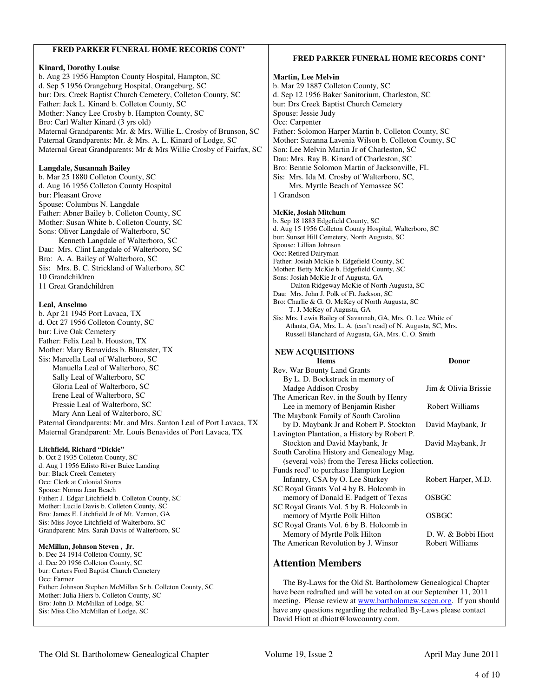### **FRED PARKER FUNERAL HOME RECORDS CONT'**

#### **Kinard, Dorothy Louise**

b. Aug 23 1956 Hampton County Hospital, Hampton, SC d. Sep 5 1956 Orangeburg Hospital, Orangeburg, SC bur: Drs. Creek Baptist Church Cemetery, Colleton County, SC Father: Jack L. Kinard b. Colleton County, SC Mother: Nancy Lee Crosby b. Hampton County, SC Bro: Carl Walter Kinard (3 yrs old) Maternal Grandparents: Mr. & Mrs. Willie L. Crosby of Brunson, SC Paternal Grandparents: Mr. & Mrs. A. L. Kinard of Lodge, SC Maternal Great Grandparents: Mr & Mrs Willie Crosby of Fairfax, SC

#### **Langdale, Susannah Bailey**

b. Mar 25 1880 Colleton County, SC d. Aug 16 1956 Colleton County Hospital bur: Pleasant Grove Spouse: Columbus N. Langdale Father: Abner Bailey b. Colleton County, SC Mother: Susan White b. Colleton County, SC Sons: Oliver Langdale of Walterboro, SC Kenneth Langdale of Walterboro, SC Dau: Mrs. Clint Langdale of Walterboro, SC Bro: A. A. Bailey of Walterboro, SC Sis: Mrs. B. C. Strickland of Walterboro, SC 10 Grandchildren 11 Great Grandchildren

#### **Leal, Anselmo**

b. Apr 21 1945 Port Lavaca, TX d. Oct 27 1956 Colleton County, SC bur: Live Oak Cemetery Father: Felix Leal b. Houston, TX Mother: Mary Benavides b. Bluenster, TX Sis: Marcella Leal of Walterboro, SC Manuella Leal of Walterboro, SC Sally Leal of Walterboro, SC Gloria Leal of Walterboro, SC Irene Leal of Walterboro, SC Pressie Leal of Walterboro, SC Mary Ann Leal of Walterboro, SC Paternal Grandparents: Mr. and Mrs. Santon Leal of Port Lavaca, TX Maternal Grandparent: Mr. Louis Benavides of Port Lavaca, TX

#### **Litchfield, Richard "Dickie"**

b. Oct 2 1935 Colleton County, SC d. Aug 1 1956 Edisto River Buice Landing bur: Black Creek Cemetery Occ: Clerk at Colonial Stores Spouse: Norma Jean Beach Father: J. Edgar Litchfield b. Colleton County, SC Mother: Lucile Davis b. Colleton County, SC Bro: James E. Litchfield Jr of Mt. Vernon, GA Sis: Miss Joyce Litchfield of Walterboro, SC Grandparent: Mrs. Sarah Davis of Walterboro, SC

#### **McMillan, Johnson Steven , Jr.**

b. Dec 24 1914 Colleton County, SC d. Dec 20 1956 Colleton County, SC bur: Carters Ford Baptist Church Cemetery Occ: Farmer Father: Johnson Stephen McMillan Sr b. Colleton County, SC Mother: Julia Hiers b. Colleton County, SC Bro: John D. McMillan of Lodge, SC Sis: Miss Clio McMillan of Lodge, SC

#### **FRED PARKER FUNERAL HOME RECORDS CONT'**

#### **Martin, Lee Melvin**  b. Mar 29 1887 Colleton County, SC d. Sep 12 1956 Baker Sanitorium, Charleston, SC bur: Drs Creek Baptist Church Cemetery Spouse: Jessie Judy Occ: Carpenter Father: Solomon Harper Martin b. Colleton County, SC Mother: Suzanna Lavenia Wilson b. Colleton County, SC Son: Lee Melvin Martin Jr of Charleston, SC Dau: Mrs. Ray B. Kinard of Charleston, SC Bro: Bennie Solomon Martin of Jacksonville, FL Sis: Mrs. Ida M. Crosby of Walterboro, SC, Mrs. Myrtle Beach of Yemassee SC 1 Grandson **McKie, Josiah Mitchum**  b. Sep 18 1883 Edgefield County, SC d. Aug 15 1956 Colleton County Hospital, Walterboro, SC bur: Sunset Hill Cemetery, North Augusta, SC Spouse: Lillian Johnson Occ: Retired Dairyman Father: Josiah McKie b. Edgefield County, SC Mother: Betty McKie b. Edgefield County, SC Sons: Josiah McKie Jr of Augusta, GA Dalton Ridgeway McKie of North Augusta, SC Dau: Mrs. John J. Polk of Ft. Jackson, SC Bro: Charlie & G. O. McKey of North Augusta, SC T. J. McKey of Augusta, GA Sis: Mrs. Lewis Bailey of Savannah, GA, Mrs. O. Lee White of Atlanta, GA, Mrs. L. A. (can't read) of N. Augusta, SC, Mrs. Russell Blanchard of Augusta, GA, Mrs. C. O. Smith **NEW ACQUISITIONS Items Donor** Rev. War Bounty Land Grants By L. D. Bockstruck in memory of Madge Addison Crosby Jim & Olivia Brissie The American Rev. in the South by Henry Lee in memory of Benjamin Risher Robert Williams The Maybank Family of South Carolina

 by D. Maybank Jr and Robert P. Stockton David Maybank, Jr Lavington Plantation, a History by Robert P. Stockton and David Maybank, Jr David Maybank, Jr

South Carolina History and Genealogy Mag. (several vols) from the Teresa Hicks collection. Funds recd' to purchase Hampton Legion Infantry, CSA by O. Lee Sturkey Robert Harper, M.D.

SC Royal Grants Vol 4 by B. Holcomb in memory of Donald E. Padgett of Texas OSBGC SC Royal Grants Vol. 5 by B. Holcomb in memory of Myrtle Polk Hilton **OSBGC** SC Royal Grants Vol. 6 by B. Holcomb in

Memory of Myrtle Polk Hilton D. W. & Bobbi Hiott The American Revolution by J. Winsor Robert Williams

# **Attention Members**

 The By-Laws for the Old St. Bartholomew Genealogical Chapter have been redrafted and will be voted on at our September 11, 2011 meeting. Please review at www.bartholomew.scgen.org. If you should have any questions regarding the redrafted By-Laws please contact David Hiott at dhiott@lowcountry.com.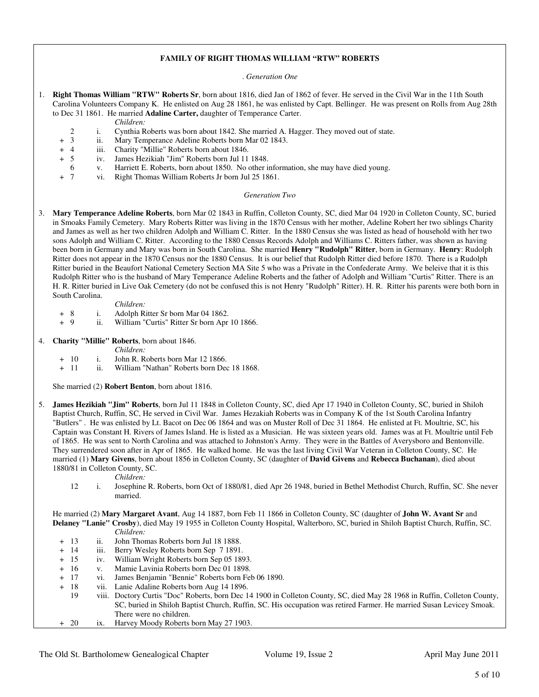#### **FAMILY OF RIGHT THOMAS WILLIAM "RTW" ROBERTS**

. *Generation One*

- 1. **Right Thomas William "RTW" Roberts Sr**, born about 1816, died Jan of 1862 of fever. He served in the Civil War in the 11th South Carolina Volunteers Company K. He enlisted on Aug 28 1861, he was enlisted by Capt. Bellinger. He was present on Rolls from Aug 28th to Dec 31 1861. He married **Adaline Carter,** daughter of Temperance Carter.
	- *Children:*
	- 2 i. Cynthia Roberts was born about 1842. She married A. Hagger. They moved out of state.
	- + 3 ii. Mary Temperance Adeline Roberts born Mar 02 1843.
	-
	- + 4 iii. Charity "Millie" Roberts born about 1846. + 5 iv. James Hezikiah "Jim" Roberts born Jul 11 1848.
		- 6 v. Harriett E. Roberts, born about 1850. No other information, she may have died young.
	- + 7 vi. Right Thomas William Roberts Jr born Jul 25 1861.

#### *Generation Two*

- 3. **Mary Temperance Adeline Roberts**, born Mar 02 1843 in Ruffin, Colleton County, SC, died Mar 04 1920 in Colleton County, SC, buried in Smoaks Family Cemetery. Mary Roberts Ritter was living in the 1870 Census with her mother, Adeline Robert her two siblings Charity and James as well as her two children Adolph and William C. Ritter. In the 1880 Census she was listed as head of household with her two sons Adolph and William C. Ritter. According to the 1880 Census Records Adolph and Williams C. Ritters father, was shown as having been born in Germany and Mary was born in South Carolina. She married **Henry "Rudolph" Ritter**, born in Germany. **Henry**: Rudolph Ritter does not appear in the 1870 Census nor the 1880 Census. It is our belief that Rudolph Ritter died before 1870. There is a Rudolph Ritter buried in the Beaufort National Cemetery Section MA Site 5 who was a Private in the Confederate Army. We beleive that it is this Rudolph Ritter who is the husband of Mary Temperance Adeline Roberts and the father of Adolph and William "Curtis" Ritter. There is an H. R. Ritter buried in Live Oak Cemetery (do not be confused this is not Henry "Rudolph" Ritter). H. R. Ritter his parents were both born in South Carolina.
	- *Children:*
	- + 8 i. Adolph Ritter Sr born Mar 04 1862.
	- + 9 ii. William "Curtis" Ritter Sr born Apr 10 1866.
- 4. **Charity "Millie" Roberts**, born about 1846.
	- *Children:*
	- + 10 i. John R. Roberts born Mar 12 1866.
	- + 11 ii. William "Nathan" Roberts born Dec 18 1868.

She married (2) **Robert Benton**, born about 1816.

- 5. **James Hezikiah "Jim" Roberts**, born Jul 11 1848 in Colleton County, SC, died Apr 17 1940 in Colleton County, SC, buried in Shiloh Baptist Church, Ruffin, SC, He served in Civil War. James Hezakiah Roberts was in Company K of the 1st South Carolina Infantry "Butlers" . He was enlisted by Lt. Bacot on Dec 06 1864 and was on Muster Roll of Dec 31 1864. He enlisted at Ft. Moultrie, SC, his Captain was Constant H. Rivers of James Island. He is listed as a Musician. He was sixteen years old. James was at Ft. Moultrie until Feb of 1865. He was sent to North Carolina and was attached to Johnston's Army. They were in the Battles of Averysboro and Bentonville. They surrendered soon after in Apr of 1865. He walked home. He was the last living Civil War Veteran in Colleton County, SC. He married (1) **Mary Givens**, born about 1856 in Colleton County, SC (daughter of **David Givens** and **Rebecca Buchanan**), died about 1880/81 in Colleton County, SC.
	- *Children:*
	- 12 i. Josephine R. Roberts, born Oct of 1880/81, died Apr 26 1948, buried in Bethel Methodist Church, Ruffin, SC. She never married.

 He married (2) **Mary Margaret Avant**, Aug 14 1887, born Feb 11 1866 in Colleton County, SC (daughter of **John W. Avant Sr** and **Delaney "Lanie" Crosby**), died May 19 1955 in Colleton County Hospital, Walterboro, SC, buried in Shiloh Baptist Church, Ruffin, SC. *Children:*

- + 13 ii. John Thomas Roberts born Jul 18 1888.
- + 14 iii. Berry Wesley Roberts born Sep 7 1891.
- + 15 iv. William Wright Roberts born Sep 05 1893.
- + 16 v. Mamie Lavinia Roberts born Dec 01 1898.
- + 17 vi. James Benjamin "Bennie" Roberts born Feb 06 1890.
- + 18 vii. Lanie Adaline Roberts born Aug 14 1896.
- 19 viii. Doctory Curtis "Doc" Roberts, born Dec 14 1900 in Colleton County, SC, died May 28 1968 in Ruffin, Colleton County, SC, buried in Shiloh Baptist Church, Ruffin, SC. His occupation was retired Farmer. He married Susan Levicey Smoak. There were no children.
- + 20 ix. Harvey Moody Roberts born May 27 1903.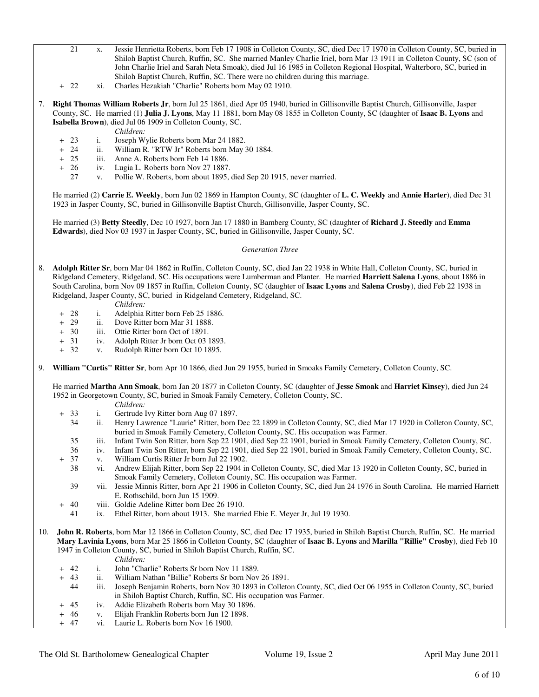- 21 x. Jessie Henrietta Roberts, born Feb 17 1908 in Colleton County, SC, died Dec 17 1970 in Colleton County, SC, buried in Shiloh Baptist Church, Ruffin, SC. She married Manley Charlie Iriel, born Mar 13 1911 in Colleton County, SC (son of John Charlie Iriel and Sarah Neta Smoak), died Jul 16 1985 in Colleton Regional Hospital, Walterboro, SC, buried in Shiloh Baptist Church, Ruffin, SC. There were no children during this marriage.
- + 22 xi. Charles Hezakiah "Charlie" Roberts born May 02 1910.
- 7. **Right Thomas William Roberts Jr**, born Jul 25 1861, died Apr 05 1940, buried in Gillisonville Baptist Church, Gillisonville, Jasper County, SC. He married (1) **Julia J. Lyons**, May 11 1881, born May 08 1855 in Colleton County, SC (daughter of **Isaac B. Lyons** and **Isabella Brown**), died Jul 06 1909 in Colleton County, SC.
	- *Children:*
	- + 23 i. Joseph Wylie Roberts born Mar 24 1882.
	- + 24 ii. William R. "RTW Jr" Roberts born May 30 1884.<br>+ 25 iii. Anne A. Roberts born Feb 14 1886.
	- + 25 iii. Anne A. Roberts born Feb 14 1886.
	- + 26 iv. Lugia L. Roberts born Nov 27 1887.
		- 27 v. Pollie W. Roberts, born about 1895, died Sep 20 1915, never married.

 He married (2) **Carrie E. Weekly**, born Jun 02 1869 in Hampton County, SC (daughter of **L. C. Weekly** and **Annie Harter**), died Dec 31 1923 in Jasper County, SC, buried in Gillisonville Baptist Church, Gillisonville, Jasper County, SC.

 He married (3) **Betty Steedly**, Dec 10 1927, born Jan 17 1880 in Bamberg County, SC (daughter of **Richard J. Steedly** and **Emma Edwards**), died Nov 03 1937 in Jasper County, SC, buried in Gillisonville, Jasper County, SC.

#### *Generation Three*

- 8. **Adolph Ritter Sr**, born Mar 04 1862 in Ruffin, Colleton County, SC, died Jan 22 1938 in White Hall, Colleton County, SC, buried in Ridgeland Cemetery, Ridgeland, SC. His occupations were Lumberman and Planter. He married **Harriett Salena Lyons**, about 1886 in South Carolina, born Nov 09 1857 in Ruffin, Colleton County, SC (daughter of **Isaac Lyons** and **Salena Crosby**), died Feb 22 1938 in Ridgeland, Jasper County, SC, buried in Ridgeland Cemetery, Ridgeland, SC.
	- *Children:*
	- + 28 i. Adelphia Ritter born Feb 25 1886.
	- + 29 ii. Dove Ritter born Mar 31 1888.
	- + 30 iii. Ottie Ritter born Oct of 1891.
	- + 31 iv. Adolph Ritter Jr born Oct 03 1893.
	- + 32 v. Rudolph Ritter born Oct 10 1895.
- 9. **William "Curtis" Ritter Sr**, born Apr 10 1866, died Jun 29 1955, buried in Smoaks Family Cemetery, Colleton County, SC.

 He married **Martha Ann Smoak**, born Jan 20 1877 in Colleton County, SC (daughter of **Jesse Smoak** and **Harriet Kinsey**), died Jun 24 1952 in Georgetown County, SC, buried in Smoak Family Cemetery, Colleton County, SC.

- *Children:*
- + 33 i. Gertrude Ivy Ritter born Aug 07 1897.
	- 34 ii. Henry Lawrence "Laurie" Ritter, born Dec 22 1899 in Colleton County, SC, died Mar 17 1920 in Colleton County, SC, buried in Smoak Family Cemetery, Colleton County, SC. His occupation was Farmer.
	- 35 iii. Infant Twin Son Ritter, born Sep 22 1901, died Sep 22 1901, buried in Smoak Family Cemetery, Colleton County, SC.
	- 36 iv. Infant Twin Son Ritter, born Sep 22 1901, died Sep 22 1901, buried in Smoak Family Cemetery, Colleton County, SC.
	- 37 v. William Curtis Ritter Jr born Jul 22 1902.
	- 38 vi. Andrew Elijah Ritter, born Sep 22 1904 in Colleton County, SC, died Mar 13 1920 in Colleton County, SC, buried in Smoak Family Cemetery, Colleton County, SC. His occupation was Farmer.
	- 39 vii. Jessie Minnis Ritter, born Apr 21 1906 in Colleton County, SC, died Jun 24 1976 in South Carolina. He married Harriett E. Rothschild, born Jun 15 1909.
- + 40 viii. Goldie Adeline Ritter born Dec 26 1910.
	- 41 ix. Ethel Ritter, born about 1913. She married Ebie E. Meyer Jr, Jul 19 1930.
- 10. **John R. Roberts**, born Mar 12 1866 in Colleton County, SC, died Dec 17 1935, buried in Shiloh Baptist Church, Ruffin, SC. He married **Mary Lavinia Lyons**, born Mar 25 1866 in Colleton County, SC (daughter of **Isaac B. Lyons** and **Marilla "Rillie" Crosby**), died Feb 10 1947 in Colleton County, SC, buried in Shiloh Baptist Church, Ruffin, SC.
	- *Children:*
	- + 42 i. John "Charlie" Roberts Sr born Nov 11 1889.
	- + 43 ii. William Nathan "Billie" Roberts Sr born Nov 26 1891.
		- 44 iii. Joseph Benjamin Roberts, born Nov 30 1893 in Colleton County, SC, died Oct 06 1955 in Colleton County, SC, buried in Shiloh Baptist Church, Ruffin, SC. His occupation was Farmer.
	- + 45 iv. Addie Elizabeth Roberts born May 30 1896.
	- + 46 v. Elijah Franklin Roberts born Jun 12 1898.
	- + 47 vi. Laurie L. Roberts born Nov 16 1900.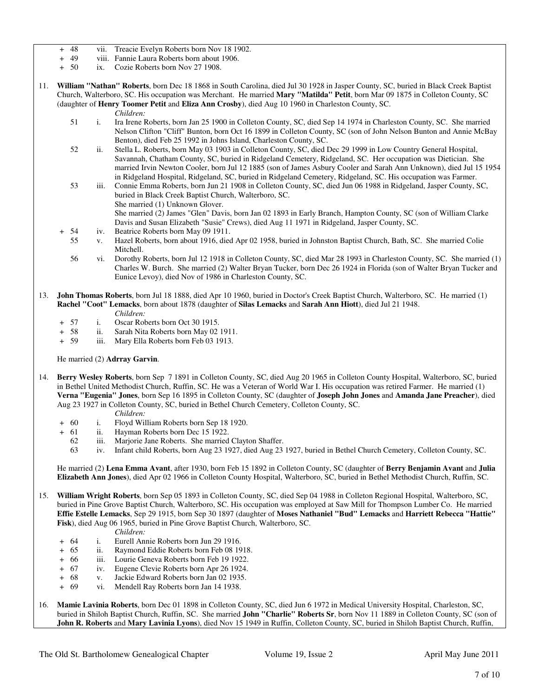- + 48 vii. Treacie Evelyn Roberts born Nov 18 1902.
- viii. Fannie Laura Roberts born about 1906.
- + 50 ix. Cozie Roberts born Nov 27 1908.
- 11. **William "Nathan" Roberts**, born Dec 18 1868 in South Carolina, died Jul 30 1928 in Jasper County, SC, buried in Black Creek Baptist Church, Walterboro, SC. His occupation was Merchant. He married **Mary "Matilda" Petit**, born Mar 09 1875 in Colleton County, SC (daughter of **Henry Toomer Petit** and **Eliza Ann Crosby**), died Aug 10 1960 in Charleston County, SC.
	-
	- *Children:*<br>51 i. Ira Irene F 51 i. Ira Irene Roberts, born Jan 25 1900 in Colleton County, SC, died Sep 14 1974 in Charleston County, SC. She married Nelson Clifton "Cliff" Bunton, born Oct 16 1899 in Colleton County, SC (son of John Nelson Bunton and Annie McBay Benton), died Feb 25 1992 in Johns Island, Charleston County, SC.
	- 52 ii. Stella L. Roberts, born May 03 1903 in Colleton County, SC, died Dec 29 1999 in Low Country General Hospital, Savannah, Chatham County, SC, buried in Ridgeland Cemetery, Ridgeland, SC. Her occupation was Dietician. She married Irvin Newton Cooler, born Jul 12 1885 (son of James Asbury Cooler and Sarah Ann Unknown), died Jul 15 1954 in Ridgeland Hospital, Ridgeland, SC, buried in Ridgeland Cemetery, Ridgeland, SC. His occupation was Farmer.
	- 53 iii. Connie Emma Roberts, born Jun 21 1908 in Colleton County, SC, died Jun 06 1988 in Ridgeland, Jasper County, SC, buried in Black Creek Baptist Church, Walterboro, SC. She married (1) Unknown Glover.
		- She married (2) James "Glen" Davis, born Jan 02 1893 in Early Branch, Hampton County, SC (son of William Clarke Davis and Susan Elizabeth "Susie" Crews), died Aug 11 1971 in Ridgeland, Jasper County, SC.
	- 54 iv. Beatrice Roberts born May 09 1911.
	- 55 v. Hazel Roberts, born about 1916, died Apr 02 1958, buried in Johnston Baptist Church, Bath, SC. She married Colie Mitchell.
	- 56 vi. Dorothy Roberts, born Jul 12 1918 in Colleton County, SC, died Mar 28 1993 in Charleston County, SC. She married (1) Charles W. Burch. She married (2) Walter Bryan Tucker, born Dec 26 1924 in Florida (son of Walter Bryan Tucker and Eunice Levoy), died Nov of 1986 in Charleston County, SC.
- 13. **John Thomas Roberts**, born Jul 18 1888, died Apr 10 1960, buried in Doctor's Creek Baptist Church, Walterboro, SC. He married (1) **Rachel "Coot" Lemacks**, born about 1878 (daughter of **Silas Lemacks** and **Sarah Ann Hiott**), died Jul 21 1948. *Children:*
	- + 57 i. Oscar Roberts born Oct 30 1915.
	- + 58 ii. Sarah Nita Roberts born May 02 1911.
	- + 59 iii. Mary Ella Roberts born Feb 03 1913.

He married (2) **Adrray Garvin**.

- 14. **Berry Wesley Roberts**, born Sep 7 1891 in Colleton County, SC, died Aug 20 1965 in Colleton County Hospital, Walterboro, SC, buried in Bethel United Methodist Church, Ruffin, SC. He was a Veteran of World War I. His occupation was retired Farmer. He married (1) **Verna "Eugenia" Jones**, born Sep 16 1895 in Colleton County, SC (daughter of **Joseph John Jones** and **Amanda Jane Preacher**), died Aug 23 1927 in Colleton County, SC, buried in Bethel Church Cemetery, Colleton County, SC.
	- *Children:*
	- + 60 i. Floyd William Roberts born Sep 18 1920.
	- + 61 ii. Hayman Roberts born Dec 15 1922.
		- 62 iii. Marjorie Jane Roberts. She married Clayton Shaffer.
		- 63 iv. Infant child Roberts, born Aug 23 1927, died Aug 23 1927, buried in Bethel Church Cemetery, Colleton County, SC.

 He married (2) **Lena Emma Avant**, after 1930, born Feb 15 1892 in Colleton County, SC (daughter of **Berry Benjamin Avant** and **Julia Elizabeth Ann Jones**), died Apr 02 1966 in Colleton County Hospital, Walterboro, SC, buried in Bethel Methodist Church, Ruffin, SC.

- 15. **William Wright Roberts**, born Sep 05 1893 in Colleton County, SC, died Sep 04 1988 in Colleton Regional Hospital, Walterboro, SC, buried in Pine Grove Baptist Church, Walterboro, SC. His occupation was employed at Saw Mill for Thompson Lumber Co. He married **Effie Estelle Lemacks**, Sep 29 1915, born Sep 30 1897 (daughter of **Moses Nathaniel "Bud" Lemacks** and **Harriett Rebecca "Hattie" Fisk**), died Aug 06 1965, buried in Pine Grove Baptist Church, Walterboro, SC.
	- *Children:*
	- + 64 i. Eurell Annie Roberts born Jun 29 1916.
	- + 65 ii. Raymond Eddie Roberts born Feb 08 1918.
	- + 66 iii. Lourie Geneva Roberts born Feb 19 1922.
	- + 67 iv. Eugene Clevie Roberts born Apr 26 1924.
	- + 68 v. Jackie Edward Roberts born Jan 02 1935.
	- + 69 vi. Mendell Ray Roberts born Jan 14 1938.
- 16. **Mamie Lavinia Roberts**, born Dec 01 1898 in Colleton County, SC, died Jun 6 1972 in Medical University Hospital, Charleston, SC, buried in Shiloh Baptist Church, Ruffin, SC. She married **John "Charlie" Roberts Sr**, born Nov 11 1889 in Colleton County, SC (son of **John R. Roberts** and **Mary Lavinia Lyons**), died Nov 15 1949 in Ruffin, Colleton County, SC, buried in Shiloh Baptist Church, Ruffin,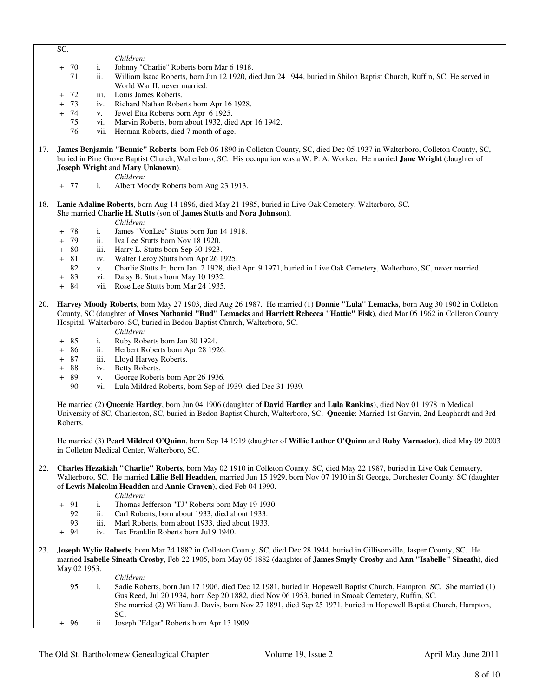- SC.
- *Children:*<br>*+ 70* i. Johnny "*C* 
	- 70 i. Johnny "Charlie" Roberts born Mar 6 1918.<br>71 ii. William Isaac Roberts, born Jun 12 1920, di
	- ii. William Isaac Roberts, born Jun 12 1920, died Jun 24 1944, buried in Shiloh Baptist Church, Ruffin, SC, He served in World War II, never married.
- 72 iii. Louis James Roberts.
- 73 iv. Richard Nathan Roberts born Apr 16 1928.
- + 74 v. Jewel Etta Roberts born Apr 6 1925.
	- 75 vi. Marvin Roberts, born about 1932, died Apr 16 1942.
	- 76 vii. Herman Roberts, died 7 month of age.
- 17. **James Benjamin "Bennie" Roberts**, born Feb 06 1890 in Colleton County, SC, died Dec 05 1937 in Walterboro, Colleton County, SC, buried in Pine Grove Baptist Church, Walterboro, SC. His occupation was a W. P. A. Worker. He married **Jane Wright** (daughter of **Joseph Wright** and **Mary Unknown**).

*Children:*

- + 77 i. Albert Moody Roberts born Aug 23 1913.
- 18. **Lanie Adaline Roberts**, born Aug 14 1896, died May 21 1985, buried in Live Oak Cemetery, Walterboro, SC.
	- She married **Charlie H. Stutts** (son of **James Stutts** and **Nora Johnson**).
		- *Children:*
	- + 78 i. James "VonLee" Stutts born Jun 14 1918.
	- ii. Iva Lee Stutts born Nov 18 1920.
	- + 80 iii. Harry L. Stutts born Sep 30 1923.
	- + 81 iv. Walter Leroy Stutts born Apr 26 1925.
		- 82 v. Charlie Stutts Jr, born Jan 2 1928, died Apr 9 1971, buried in Live Oak Cemetery, Walterboro, SC, never married.
	- + 83 vi. Daisy B. Stutts born May 10 1932.
	- + 84 vii. Rose Lee Stutts born Mar 24 1935.
- 20. **Harvey Moody Roberts**, born May 27 1903, died Aug 26 1987. He married (1) **Donnie "Lula" Lemacks**, born Aug 30 1902 in Colleton County, SC (daughter of **Moses Nathaniel "Bud" Lemacks** and **Harriett Rebecca "Hattie" Fisk**), died Mar 05 1962 in Colleton County Hospital, Walterboro, SC, buried in Bedon Baptist Church, Walterboro, SC.
	- *Children:*
	- + 85 i. Ruby Roberts born Jan 30 1924.
	- + 86 ii. Herbert Roberts born Apr 28 1926.
	- + 87 iii. Lloyd Harvey Roberts.
	- + 88 iv. Betty Roberts.
	- + 89 v. George Roberts born Apr 26 1936.
		- vi. Lula Mildred Roberts, born Sep of 1939, died Dec 31 1939.

 He married (2) **Queenie Hartley**, born Jun 04 1906 (daughter of **David Hartley** and **Lula Rankins**), died Nov 01 1978 in Medical University of SC, Charleston, SC, buried in Bedon Baptist Church, Walterboro, SC. **Queenie**: Married 1st Garvin, 2nd Leaphardt and 3rd Roberts.

 He married (3) **Pearl Mildred O'Quinn**, born Sep 14 1919 (daughter of **Willie Luther O'Quinn** and **Ruby Varnadoe**), died May 09 2003 in Colleton Medical Center, Walterboro, SC.

22. **Charles Hezakiah "Charlie" Roberts**, born May 02 1910 in Colleton County, SC, died May 22 1987, buried in Live Oak Cemetery, Walterboro, SC. He married **Lillie Bell Headden**, married Jun 15 1929, born Nov 07 1910 in St George, Dorchester County, SC (daughter of **Lewis Malcolm Headden** and **Annie Craven**), died Feb 04 1990.

*Children:*

- + 91 i. Thomas Jefferson "TJ" Roberts born May 19 1930.<br>92 ii. Carl Roberts, born about 1933, died about 1933.
	- 92 ii. Carl Roberts, born about 1933, died about 1933.
- 93 iii. Marl Roberts, born about 1933, died about 1933.<br>+ 94 iv. Tex Franklin Roberts born Jul 9 1940.
	- iv. Tex Franklin Roberts born Jul 9 1940.
- 23. **Joseph Wylie Roberts**, born Mar 24 1882 in Colleton County, SC, died Dec 28 1944, buried in Gillisonville, Jasper County, SC. He married **Isabelle Sineath Crosby**, Feb 22 1905, born May 05 1882 (daughter of **James Smyly Crosby** and **Ann "Isabelle" Sineath**), died May 02 1953.

#### *Children:*

 95 i. Sadie Roberts, born Jan 17 1906, died Dec 12 1981, buried in Hopewell Baptist Church, Hampton, SC. She married (1) Gus Reed, Jul 20 1934, born Sep 20 1882, died Nov 06 1953, buried in Smoak Cemetery, Ruffin, SC. She married (2) William J. Davis, born Nov 27 1891, died Sep 25 1971, buried in Hopewell Baptist Church, Hampton, SC. + 96 ii. Joseph "Edgar" Roberts born Apr 13 1909.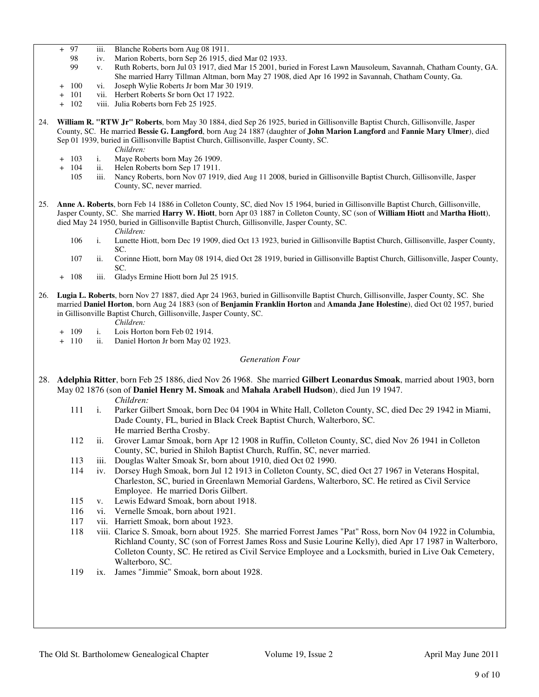- + 97 iii. Blanche Roberts born Aug 08 1911.<br>98 iv. Marion Roberts, born Sep 26 1915,
	- 98 iv. Marion Roberts, born Sep 26 1915, died Mar 02 1933.
	- 99 v. Ruth Roberts, born Jul 03 1917, died Mar 15 2001, buried in Forest Lawn Mausoleum, Savannah, Chatham County, GA. She married Harry Tillman Altman, born May 27 1908, died Apr 16 1992 in Savannah, Chatham County, Ga.
- + 100 vi. Joseph Wylie Roberts Jr born Mar 30 1919.
- 101 vii. Herbert Roberts Sr born Oct 17 1922.
- + 102 viii. Julia Roberts born Feb 25 1925.
- 24. **William R. "RTW Jr" Roberts**, born May 30 1884, died Sep 26 1925, buried in Gillisonville Baptist Church, Gillisonville, Jasper County, SC. He married **Bessie G. Langford**, born Aug 24 1887 (daughter of **John Marion Langford** and **Fannie Mary Ulmer**), died Sep 01 1939, buried in Gillisonville Baptist Church, Gillisonville, Jasper County, SC.
	-
	- *Children:*<br>+ 103 i. Mave Rob i. Maye Roberts born May 26 1909.
	- + 104 ii. Helen Roberts born Sep 17 1911.
		- 105 iii. Nancy Roberts, born Nov 07 1919, died Aug 11 2008, buried in Gillisonville Baptist Church, Gillisonville, Jasper County, SC, never married.
- 25. **Anne A. Roberts**, born Feb 14 1886 in Colleton County, SC, died Nov 15 1964, buried in Gillisonville Baptist Church, Gillisonville, Jasper County, SC. She married **Harry W. Hiott**, born Apr 03 1887 in Colleton County, SC (son of **William Hiott** and **Martha Hiott**), died May 24 1950, buried in Gillisonville Baptist Church, Gillisonville, Jasper County, SC.
	- *Children:*
	- 106 i. Lunette Hiott, born Dec 19 1909, died Oct 13 1923, buried in Gillisonville Baptist Church, Gillisonville, Jasper County, SC.
	- 107 ii. Corinne Hiott, born May 08 1914, died Oct 28 1919, buried in Gillisonville Baptist Church, Gillisonville, Jasper County, SC.
	- + 108 iii. Gladys Ermine Hiott born Jul 25 1915.
- 26. **Lugia L. Roberts**, born Nov 27 1887, died Apr 24 1963, buried in Gillisonville Baptist Church, Gillisonville, Jasper County, SC. She married **Daniel Horton**, born Aug 24 1883 (son of **Benjamin Franklin Horton** and **Amanda Jane Holestine**), died Oct 02 1957, buried in Gillisonville Baptist Church, Gillisonville, Jasper County, SC.
	- *Children:*
	- + 109 i. Lois Horton born Feb 02 1914.
	- ii. Daniel Horton Jr born May 02 1923.

#### *Generation Four*

28. **Adelphia Ritter**, born Feb 25 1886, died Nov 26 1968. She married **Gilbert Leonardus Smoak**, married about 1903, born May 02 1876 (son of **Daniel Henry M. Smoak** and **Mahala Arabell Hudson**), died Jun 19 1947.

*Children:*

- 111 i. Parker Gilbert Smoak, born Dec 04 1904 in White Hall, Colleton County, SC, died Dec 29 1942 in Miami, Dade County, FL, buried in Black Creek Baptist Church, Walterboro, SC. He married Bertha Crosby.
- 112 ii. Grover Lamar Smoak, born Apr 12 1908 in Ruffin, Colleton County, SC, died Nov 26 1941 in Colleton County, SC, buried in Shiloh Baptist Church, Ruffin, SC, never married.
- 113 iii. Douglas Walter Smoak Sr, born about 1910, died Oct 02 1990.
- 114 iv. Dorsey Hugh Smoak, born Jul 12 1913 in Colleton County, SC, died Oct 27 1967 in Veterans Hospital, Charleston, SC, buried in Greenlawn Memorial Gardens, Walterboro, SC. He retired as Civil Service Employee. He married Doris Gilbert.
- 115 v. Lewis Edward Smoak, born about 1918.
- 116 vi. Vernelle Smoak, born about 1921.
- 117 vii. Harriett Smoak, born about 1923.
- 118 viii. Clarice S. Smoak, born about 1925. She married Forrest James "Pat" Ross, born Nov 04 1922 in Columbia, Richland County, SC (son of Forrest James Ross and Susie Lourine Kelly), died Apr 17 1987 in Walterboro, Colleton County, SC. He retired as Civil Service Employee and a Locksmith, buried in Live Oak Cemetery, Walterboro, SC.
- 119 ix. James "Jimmie" Smoak, born about 1928.